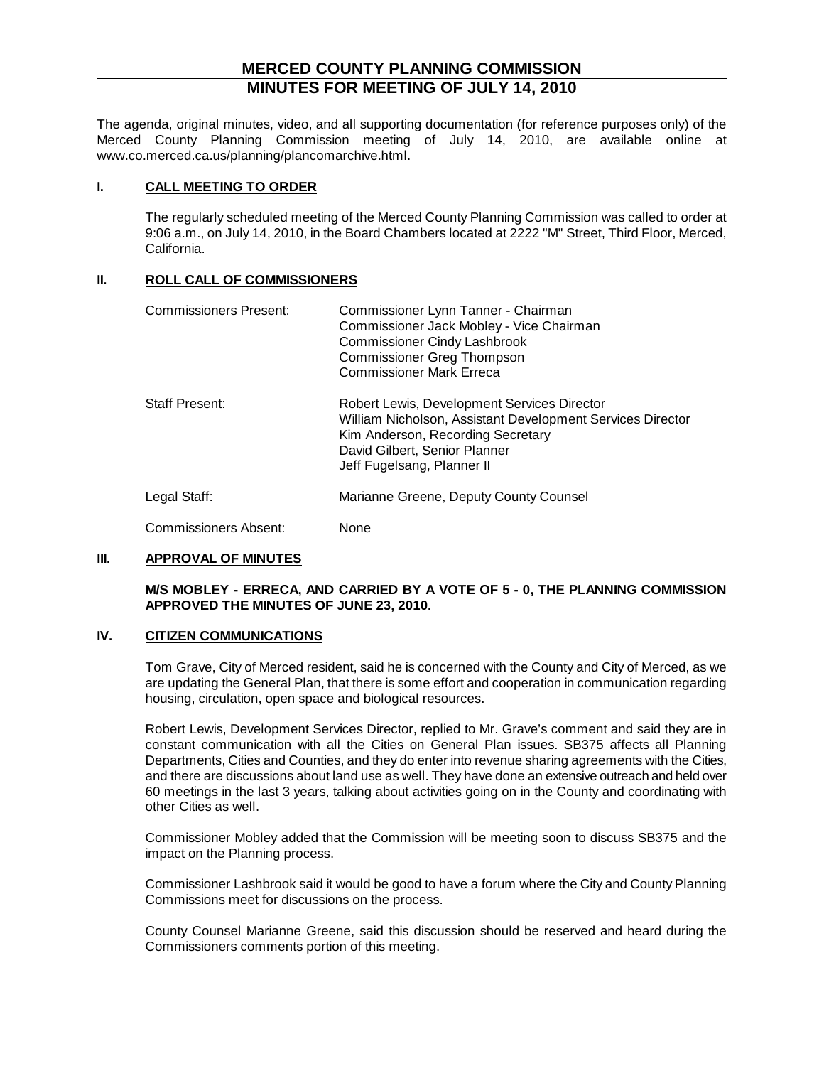## **MERCED COUNTY PLANNING COMMISSION MINUTES FOR MEETING OF JULY 14, 2010**

The agenda, original minutes, video, and all supporting documentation (for reference purposes only) of the Merced County Planning Commission meeting of July 14, 2010, are available online at www.co.merced.ca.us/planning/plancomarchive.html.

### **I. CALL MEETING TO ORDER**

The regularly scheduled meeting of the Merced County Planning Commission was called to order at 9:06 a.m., on July 14, 2010, in the Board Chambers located at 2222 "M" Street, Third Floor, Merced, California.

#### **II. ROLL CALL OF COMMISSIONERS**

| Commissioners Present: | Commissioner Lynn Tanner - Chairman<br>Commissioner Jack Mobley - Vice Chairman<br><b>Commissioner Cindy Lashbrook</b><br><b>Commissioner Greg Thompson</b><br><b>Commissioner Mark Erreca</b>                |
|------------------------|---------------------------------------------------------------------------------------------------------------------------------------------------------------------------------------------------------------|
| <b>Staff Present:</b>  | Robert Lewis, Development Services Director<br>William Nicholson, Assistant Development Services Director<br>Kim Anderson, Recording Secretary<br>David Gilbert, Senior Planner<br>Jeff Fugelsang, Planner II |
| Legal Staff:           | Marianne Greene, Deputy County Counsel                                                                                                                                                                        |
| Commissioners Absent:  | None                                                                                                                                                                                                          |

### **III. APPROVAL OF MINUTES**

### **M/S MOBLEY - ERRECA, AND CARRIED BY A VOTE OF 5 - 0, THE PLANNING COMMISSION APPROVED THE MINUTES OF JUNE 23, 2010.**

## **IV. CITIZEN COMMUNICATIONS**

Tom Grave, City of Merced resident, said he is concerned with the County and City of Merced, as we are updating the General Plan, that there is some effort and cooperation in communication regarding housing, circulation, open space and biological resources.

Robert Lewis, Development Services Director, replied to Mr. Grave's comment and said they are in constant communication with all the Cities on General Plan issues. SB375 affects all Planning Departments, Cities and Counties, and they do enter into revenue sharing agreements with the Cities, and there are discussions about land use as well. They have done an extensive outreach and held over 60 meetings in the last 3 years, talking about activities going on in the County and coordinating with other Cities as well.

Commissioner Mobley added that the Commission will be meeting soon to discuss SB375 and the impact on the Planning process.

Commissioner Lashbrook said it would be good to have a forum where the City and County Planning Commissions meet for discussions on the process.

County Counsel Marianne Greene, said this discussion should be reserved and heard during the Commissioners comments portion of this meeting.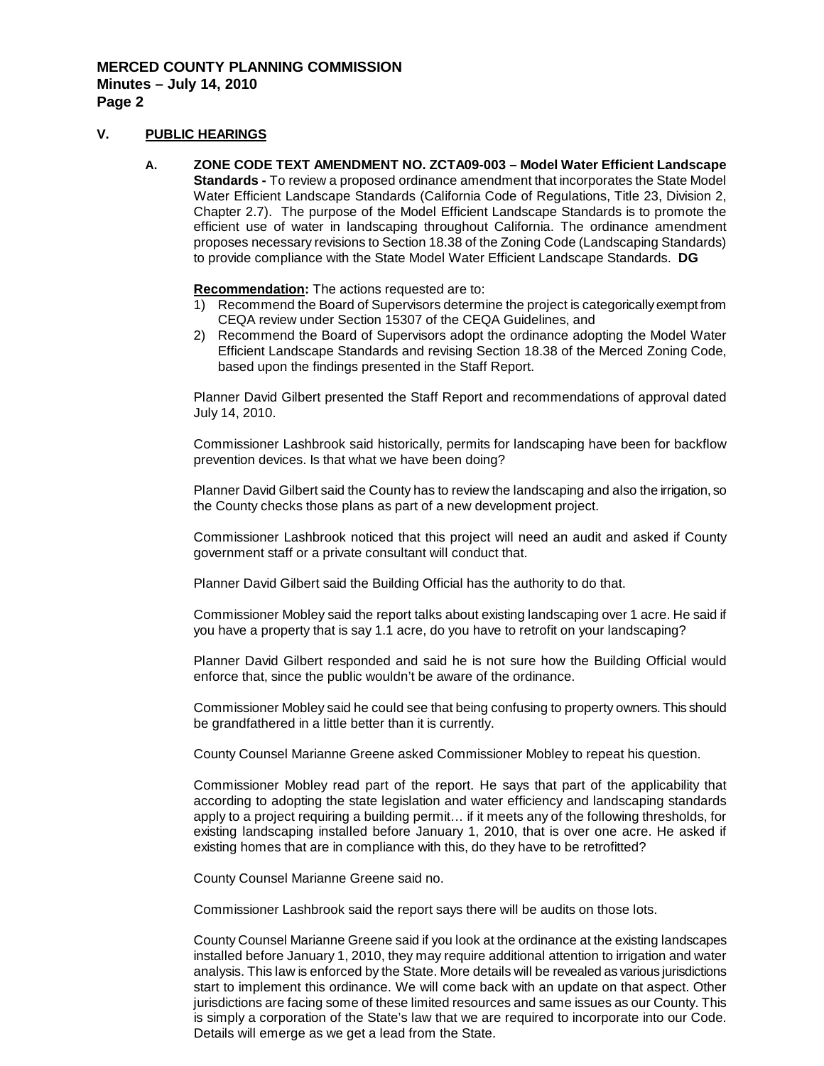## **V. PUBLIC HEARINGS**

**A. ZONE CODE TEXT AMENDMENT NO. ZCTA09-003 – Model Water Efficient Landscape Standards -** To review a proposed ordinance amendment that incorporates the State Model Water Efficient Landscape Standards (California Code of Regulations, Title 23, Division 2, Chapter 2.7). The purpose of the Model Efficient Landscape Standards is to promote the efficient use of water in landscaping throughout California. The ordinance amendment proposes necessary revisions to Section 18.38 of the Zoning Code (Landscaping Standards) to provide compliance with the State Model Water Efficient Landscape Standards. **DG**

**Recommendation :** The actions requested are to:

- 1) Recommend the Board of Supervisors determine the project is categorically exempt from CEQA review under Section 15307 of the CEQA Guidelines, and
- 2) Recommend the Board of Supervisors adopt the ordinance adopting the Model Water Efficient Landscape Standards and revising Section 18.38 of the Merced Zoning Code, based upon the findings presented in the Staff Report.

Planner David Gilbert presented the Staff Report and recommendations of approval dated July 14, 2010.

Commissioner Lashbrook said historically, permits for landscaping have been for backflow prevention devices. Is that what we have been doing?

Planner David Gilbert said the County has to review the landscaping and also the irrigation, so the County checks those plans as part of a new development project.

Commissioner Lashbrook noticed that this project will need an audit and asked if County government staff or a private consultant will conduct that.

Planner David Gilbert said the Building Official has the authority to do that.

Commissioner Mobley said the report talks about existing landscaping over 1 acre. He said if you have a property that is say 1.1 acre, do you have to retrofit on your landscaping?

Planner David Gilbert responded and said he is not sure how the Building Official would enforce that, since the public wouldn't be aware of the ordinance.

Commissioner Mobley said he could see that being confusing to property owners. This should be grandfathered in a little better than it is currently.

County Counsel Marianne Greene asked Commissioner Mobley to repeat his question.

Commissioner Mobley read part of the report. He says that part of the applicability that according to adopting the state legislation and water efficiency and landscaping standards apply to a project requiring a building permit… if it meets any of the following thresholds, for existing landscaping installed before January 1, 2010, that is over one acre. He asked if existing homes that are in compliance with this, do they have to be retrofitted?

County Counsel Marianne Greene said no.

Commissioner Lashbrook said the report says there will be audits on those lots.

County Counsel Marianne Greene said if you look at the ordinance at the existing landscapes installed before January 1, 2010, they may require additional attention to irrigation and water analysis. This law is enforced by the State. More details will be revealed as various jurisdictions start to implement this ordinance. We will come back with an update on that aspect. Other jurisdictions are facing some of these limited resources and same issues as our County. This is simply a corporation of the State's law that we are required to incorporate into our Code. Details will emerge as we get a lead from the State.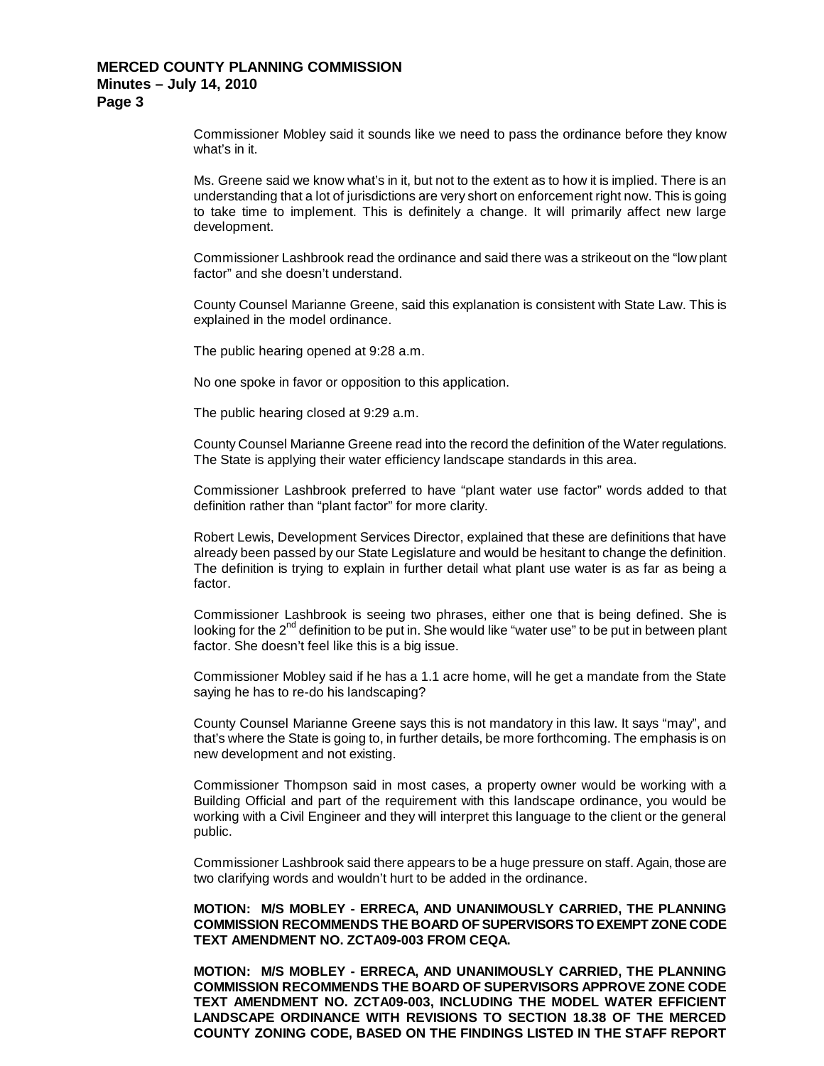Commissioner Mobley said it sounds like we need to pass the ordinance before they know what's in it.

Ms. Greene said we know what's in it, but not to the extent as to how it is implied. There is an understanding that a lot of jurisdictions are very short on enforcement right now. This is going to take time to implement. This is definitely a change. It will primarily affect new large development.

Commissioner Lashbrook read the ordinance and said there was a strikeout on the "low plant factor" and she doesn't understand.

County Counsel Marianne Greene, said this explanation is consistent with State Law. This is explained in the model ordinance.

The public hearing opened at 9:28 a.m.

No one spoke in favor or opposition to this application.

The public hearing closed at 9:29 a.m.

County Counsel Marianne Greene read into the record the definition of the Water regulations. The State is applying their water efficiency landscape standards in this area.

Commissioner Lashbrook preferred to have "plant water use factor" words added to that definition rather than "plant factor" for more clarity.

Robert Lewis, Development Services Director, explained that these are definitions that have already been passed by our State Legislature and would be hesitant to change the definition. The definition is trying to explain in further detail what plant use water is as far as being a factor.

Commissioner Lashbrook is seeing two phrases, either one that is being defined. She is looking for the  $2<sup>nd</sup>$  definition to be put in. She would like "water use" to be put in between plant factor. She doesn't feel like this is a big issue.

Commissioner Mobley said if he has a 1.1 acre home, will he get a mandate from the State saying he has to re-do his landscaping?

County Counsel Marianne Greene says this is not mandatory in this law. It says "may", and that's where the State is going to, in further details, be more forthcoming. The emphasis is on new development and not existing.

Commissioner Thompson said in most cases, a property owner would be working with a Building Official and part of the requirement with this landscape ordinance, you would be working with a Civil Engineer and they will interpret this language to the client or the general public.

Commissioner Lashbrook said there appears to be a huge pressure on staff. Again, those are two clarifying words and wouldn't hurt to be added in the ordinance.

### **MOTION: M/S MOBLEY - ERRECA, AND UNANIMOUSLY CARRIED, THE PLANNING COMMISSION RECOMMENDS THE BOARD OF SUPERVISORS TO EXEMPT ZONE CODE TEXT AMENDMENT NO. ZCTA09-003 FROM CEQA.**

**MOTION: M/S MOBLEY - ERRECA, AND UNANIMOUSLY CARRIED, THE PLANNING COMMISSION RECOMMENDS THE BOARD OF SUPERVISORS APPROVE ZONE CODE TEXT AMENDMENT NO. ZCTA09-003, INCLUDING THE MODEL WATER EFFICIENT LANDSCAPE ORDINANCE WITH REVISIONS TO SECTION 18.38 OF THE MERCED COUNTY ZONING CODE, BASED ON THE FINDINGS LISTED IN THE STAFF REPORT**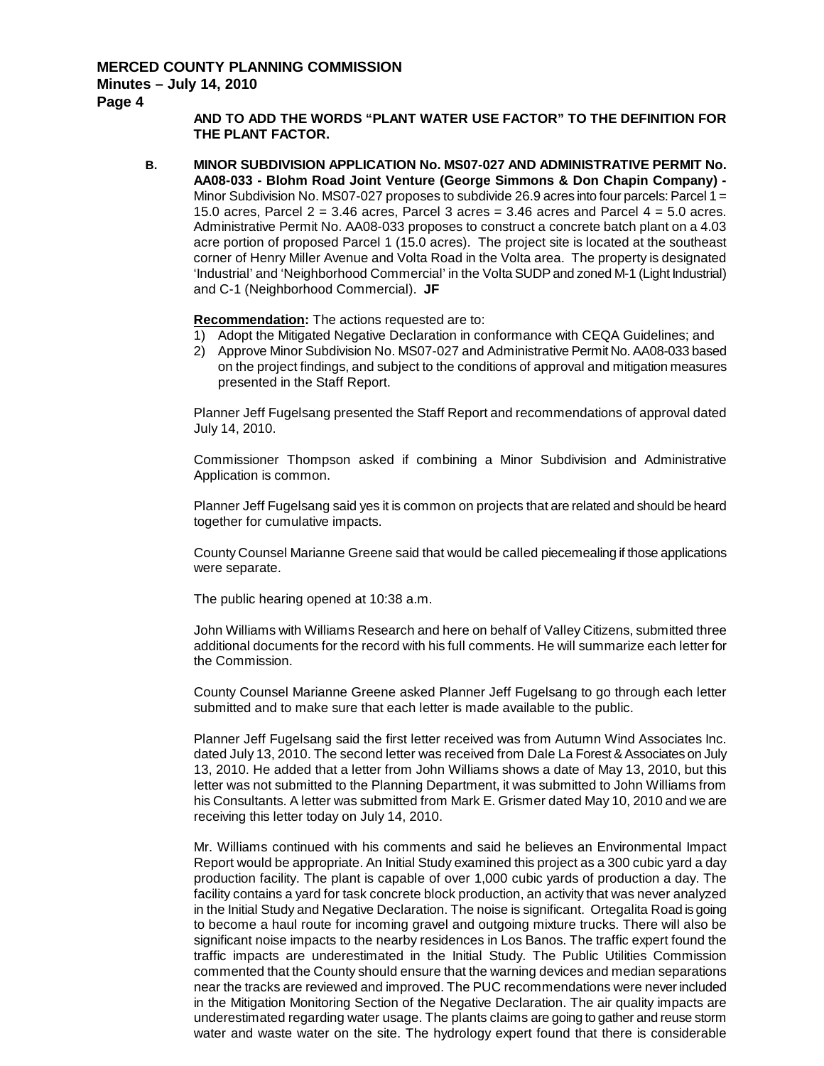## **Minutes – July 14, 2010**

**Page 4**

**AND TO ADD THE WORDS "PLANT WATER USE FACTOR" TO THE DEFINITION FOR THE PLANT FACTOR.**

**B. MINOR SUBDIVISION APPLICATION No. MS07-027 AND ADMINISTRATIVE PERMIT No. AA08-033 - Blohm Road Joint Venture (George Simmons & Don Chapin Company) -** Minor Subdivision No. MS07-027 proposes to subdivide 26.9 acres into four parcels: Parcel 1 = 15.0 acres, Parcel  $2 = 3.46$  acres, Parcel 3 acres = 3.46 acres and Parcel  $4 = 5.0$  acres. Administrative Permit No. AA08-033 proposes to construct a concrete batch plant on a 4.03 acre portion of proposed Parcel 1 (15.0 acres). The project site is located at the southeast corner of Henry Miller Avenue and Volta Road in the Volta area. The property is designated 'Industrial' and 'Neighborhood Commercial' in the Volta SUDP and zoned M-1 (Light Industrial) and C-1 (Neighborhood Commercial). **JF**

**Recommendation :** The actions requested are to:

- 1) Adopt the Mitigated Negative Declaration in conformance with CEQA Guidelines; and
- 2) Approve Minor Subdivision No. MS07-027 and Administrative Permit No. AA08-033 based on the project findings, and subject to the conditions of approval and mitigation measures presented in the Staff Report.

Planner Jeff Fugelsang presented the Staff Report and recommendations of approval dated July 14, 2010.

Commissioner Thompson asked if combining a Minor Subdivision and Administrative Application is common.

Planner Jeff Fugelsang said yes it is common on projects that are related and should be heard together for cumulative impacts.

County Counsel Marianne Greene said that would be called piecemealing if those applications were separate.

The public hearing opened at 10:38 a.m.

John Williams with Williams Research and here on behalf of Valley Citizens, submitted three additional documents for the record with his full comments. He will summarize each letter for the Commission.

County Counsel Marianne Greene asked Planner Jeff Fugelsang to go through each letter submitted and to make sure that each letter is made available to the public.

Planner Jeff Fugelsang said the first letter received was from Autumn Wind Associates Inc. dated July 13, 2010. The second letter was received from Dale La Forest & Associates on July 13, 2010. He added that a letter from John Williams shows a date of May 13, 2010, but this letter was not submitted to the Planning Department, it was submitted to John Williams from his Consultants. A letter was submitted from Mark E. Grismer dated May 10, 2010 and we are receiving this letter today on July 14, 2010.

Mr. Williams continued with his comments and said he believes an Environmental Impact Report would be appropriate. An Initial Study examined this project as a 300 cubic yard a day production facility. The plant is capable of over 1,000 cubic yards of production a day. The facility contains a yard for task concrete block production, an activity that was never analyzed in the Initial Study and Negative Declaration. The noise is significant. Ortegalita Road is going to become a haul route for incoming gravel and outgoing mixture trucks. There will also be significant noise impacts to the nearby residences in Los Banos. The traffic expert found the traffic impacts are underestimated in the Initial Study. The Public Utilities Commission commented that the County should ensure that the warning devices and median separations near the tracks are reviewed and improved. The PUC recommendations were never included in the Mitigation Monitoring Section of the Negative Declaration. The air quality impacts are underestimated regarding water usage. The plants claims are going to gather and reuse storm water and waste water on the site. The hydrology expert found that there is considerable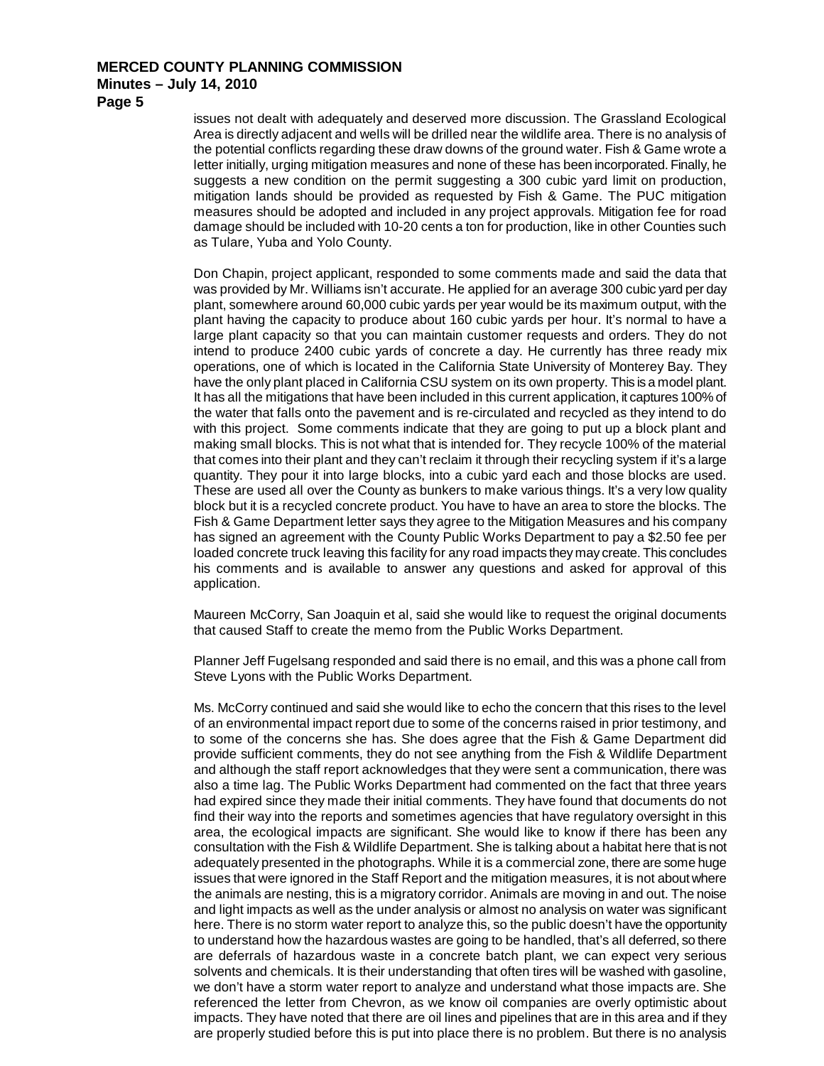**Page 5**

issues not dealt with adequately and deserved more discussion. The Grassland Ecological Area is directly adjacent and wells will be drilled near the wildlife area. There is no analysis of the potential conflicts regarding these draw downs of the ground water. Fish & Game wrote a letter initially, urging mitigation measures and none of these has been incorporated. Finally, he suggests a new condition on the permit suggesting a 300 cubic yard limit on production, mitigation lands should be provided as requested by Fish & Game. The PUC mitigation measures should be adopted and included in any project approvals. Mitigation fee for road damage should be included with 10-20 cents a ton for production, like in other Counties such as Tulare, Yuba and Yolo County.

Don Chapin, project applicant, responded to some comments made and said the data that was provided by Mr. Williams isn't accurate. He applied for an average 300 cubic yard per day plant, somewhere around 60,000 cubic yards per year would be its maximum output, with the plant having the capacity to produce about 160 cubic yards per hour. It's normal to have a large plant capacity so that you can maintain customer requests and orders. They do not intend to produce 2400 cubic yards of concrete a day. He currently has three ready mix operations, one of which is located in the California State University of Monterey Bay. They have the only plant placed in California CSU system on its own property. This is a model plant. It has all the mitigations that have been included in this current application, it captures 100% of the water that falls onto the pavement and is re-circulated and recycled as they intend to do with this project. Some comments indicate that they are going to put up a block plant and making small blocks. This is not what that is intended for. They recycle 100% of the material that comes into their plant and they can't reclaim it through their recycling system if it's a large quantity. They pour it into large blocks, into a cubic yard each and those blocks are used. These are used all over the County as bunkers to make various things. It's a very low quality block but it is a recycled concrete product. You have to have an area to store the blocks. The Fish & Game Department letter says they agree to the Mitigation Measures and his company has signed an agreement with the County Public Works Department to pay a \$2.50 fee per loaded concrete truck leaving this facility for any road impacts they may create. This concludes his comments and is available to answer any questions and asked for approval of this application.

Maureen McCorry, San Joaquin et al, said she would like to request the original documents that caused Staff to create the memo from the Public Works Department.

Planner Jeff Fugelsang responded and said there is no email, and this was a phone call from Steve Lyons with the Public Works Department.

Ms. McCorry continued and said she would like to echo the concern that this rises to the level of an environmental impact report due to some of the concerns raised in prior testimony, and to some of the concerns she has. She does agree that the Fish & Game Department did provide sufficient comments, they do not see anything from the Fish & Wildlife Department and although the staff report acknowledges that they were sent a communication, there was also a time lag. The Public Works Department had commented on the fact that three years had expired since they made their initial comments. They have found that documents do not find their way into the reports and sometimes agencies that have regulatory oversight in this area, the ecological impacts are significant. She would like to know if there has been any consultation with the Fish & Wildlife Department. She is talking about a habitat here that is not adequately presented in the photographs. While it is a commercial zone, there are some huge issues that were ignored in the Staff Report and the mitigation measures, it is not about where the animals are nesting, this is a migratory corridor. Animals are moving in and out. The noise and light impacts as well as the under analysis or almost no analysis on water was significant here. There is no storm water report to analyze this, so the public doesn't have the opportunity to understand how the hazardous wastes are going to be handled, that's all deferred, so there are deferrals of hazardous waste in a concrete batch plant, we can expect very serious solvents and chemicals. It is their understanding that often tires will be washed with gasoline, we don't have a storm water report to analyze and understand what those impacts are. She referenced the letter from Chevron, as we know oil companies are overly optimistic about impacts. They have noted that there are oil lines and pipelines that are in this area and if they are properly studied before this is put into place there is no problem. But there is no analysis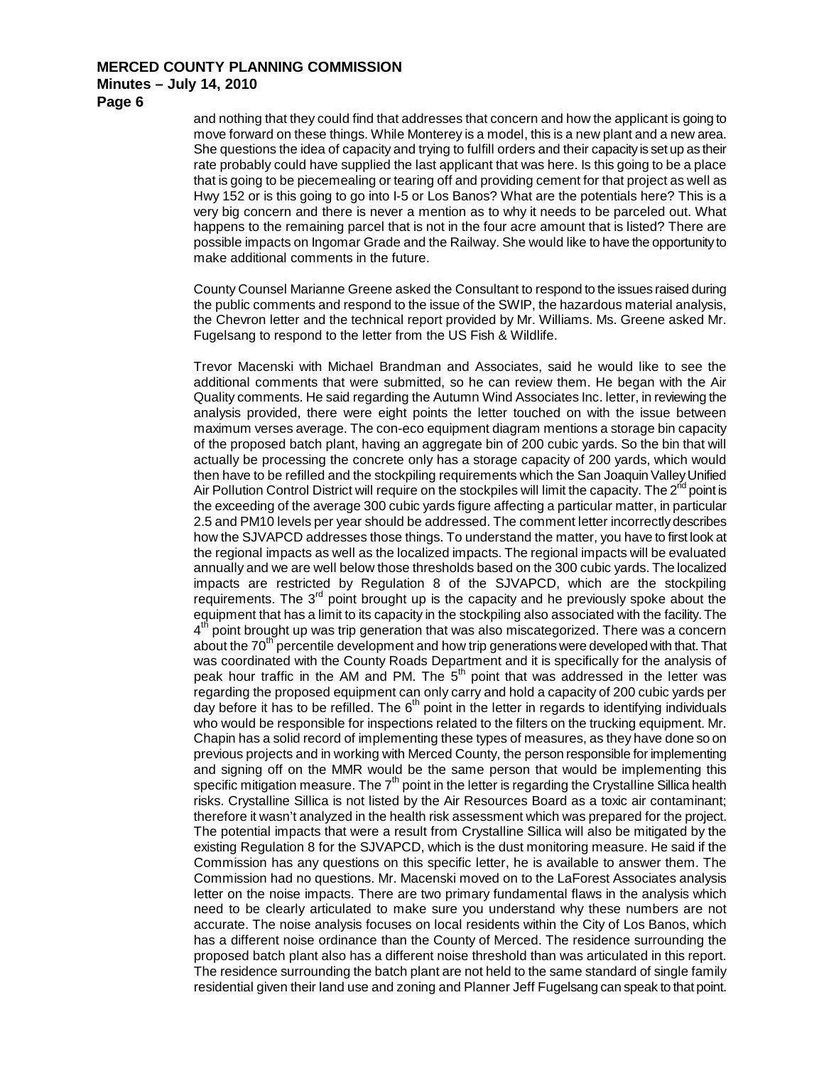**Page 6**

and nothing that they could find that addresses that concern and how the applicant is going to move forward on these things. While Monterey is a model, this is a new plant and a new area. She questions the idea of capacity and trying to fulfill orders and their capacity is set up as their rate probably could have supplied the last applicant that was here. Is this going to be a place that is going to be piecemealing or tearing off and providing cement for that project as well as Hwy 152 or is this going to go into I-5 or Los Banos? What are the potentials here? This is a very big concern and there is never a mention as to why it needs to be parceled out. What happens to the remaining parcel that is not in the four acre amount that is listed? There are possible impacts on Ingomar Grade and the Railway. She would like to have the opportunity to make additional comments in the future.

County Counsel Marianne Greene asked the Consultant to respond to the issues raised during the public comments and respond to the issue of the SWIP, the hazardous material analysis, the Chevron letter and the technical report provided by Mr. Williams. Ms. Greene asked Mr. Fugelsang to respond to the letter from the US Fish & Wildlife.

Trevor Macenski with Michael Brandman and Associates, said he would like to see the additional comments that were submitted, so he can review them. He began with the Air Quality comments. He said regarding the Autumn Wind Associates Inc. letter, in reviewing the analysis provided, there were eight points the letter touched on with the issue between maximum verses average. The con-eco equipment diagram mentions a storage bin capacity of the proposed batch plant, having an aggregate bin of 200 cubic yards. So the bin that will actually be processing the concrete only has a storage capacity of 200 yards, which would then have to be refilled and the stockpiling requirements which the San Joaquin Valley Unified Air Pollution Control District will require on the stockpiles will limit the capacity. The  $2^{nd}$  point is the exceeding of the average 300 cubic yards figure affecting a particular matter, in particular 2.5 and PM10 levels per year should be addressed. The comment letter incorrectly describes how the SJVAPCD addresses those things. To understand the matter, you have to first look at the regional impacts as well as the localized impacts. The regional impacts will be evaluated annually and we are well below those thresholds based on the 300 cubic yards. The localized impacts are restricted by Regulation 8 of the SJVAPCD, which are the stockpiling requirements. The  $3<sup>rd</sup>$  point brought up is the capacity and he previously spoke about the equipment that has a limit to its capacity in the stockpiling also associated with the facility. The  $4<sup>th</sup>$  point brought up was trip generation that was also miscategorized. There was a concern about the 70<sup>th</sup> percentile development and how trip generations were developed with that. That was coordinated with the County Roads Department and it is specifically for the analysis of peak hour traffic in the AM and PM. The  $5<sup>th</sup>$  point that was addressed in the letter was regarding the proposed equipment can only carry and hold a capacity of 200 cubic yards per day before it has to be refilled. The  $6<sup>th</sup>$  point in the letter in regards to identifying individuals who would be responsible for inspections related to the filters on the trucking equipment. Mr. Chapin has a solid record of implementing these types of measures, as they have done so on previous projects and in working with Merced County, the person responsible for implementing and signing off on the MMR would be the same person that would be implementing this specific mitigation measure. The  $7<sup>th</sup>$  point in the letter is regarding the Crystalline Sillica health risks. Crystalline Sillica is not listed by the Air Resources Board as a toxic air contaminant; therefore it wasn't analyzed in the health risk assessment which was prepared for the project. The potential impacts that were a result from Crystalline Sillica will also be mitigated by the existing Regulation 8 for the SJVAPCD, which is the dust monitoring measure. He said if the Commission has any questions on this specific letter, he is available to answer them. The Commission had no questions. Mr. Macenski moved on to the LaForest Associates analysis letter on the noise impacts. There are two primary fundamental flaws in the analysis which need to be clearly articulated to make sure you understand why these numbers are not accurate. The noise analysis focuses on local residents within the City of Los Banos, which has a different noise ordinance than the County of Merced. The residence surrounding the proposed batch plant also has a different noise threshold than was articulated in this report. The residence surrounding the batch plant are not held to the same standard of single family residential given their land use and zoning and Planner Jeff Fugelsang can speak to that point.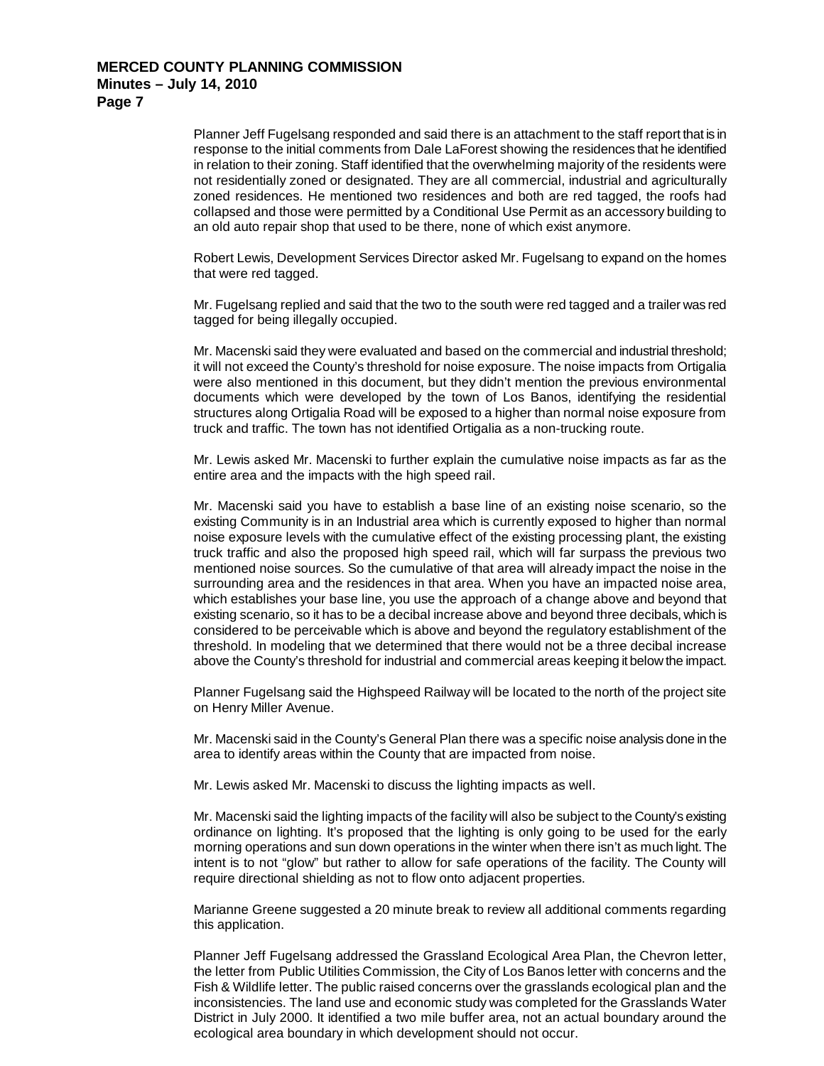Planner Jeff Fugelsang responded and said there is an attachment to the staff report that is in response to the initial comments from Dale LaForest showing the residences that he identified in relation to their zoning. Staff identified that the overwhelming majority of the residents were not residentially zoned or designated. They are all commercial, industrial and agriculturally zoned residences. He mentioned two residences and both are red tagged, the roofs had collapsed and those were permitted by a Conditional Use Permit as an accessory building to an old auto repair shop that used to be there, none of which exist anymore.

Robert Lewis, Development Services Director asked Mr. Fugelsang to expand on the homes that were red tagged.

Mr. Fugelsang replied and said that the two to the south were red tagged and a trailer was red tagged for being illegally occupied.

Mr. Macenski said they were evaluated and based on the commercial and industrial threshold; it will not exceed the County's threshold for noise exposure. The noise impacts from Ortigalia were also mentioned in this document, but they didn't mention the previous environmental documents which were developed by the town of Los Banos, identifying the residential structures along Ortigalia Road will be exposed to a higher than normal noise exposure from truck and traffic. The town has not identified Ortigalia as a non-trucking route.

Mr. Lewis asked Mr. Macenski to further explain the cumulative noise impacts as far as the entire area and the impacts with the high speed rail.

Mr. Macenski said you have to establish a base line of an existing noise scenario, so the existing Community is in an Industrial area which is currently exposed to higher than normal noise exposure levels with the cumulative effect of the existing processing plant, the existing truck traffic and also the proposed high speed rail, which will far surpass the previous two mentioned noise sources. So the cumulative of that area will already impact the noise in the surrounding area and the residences in that area. When you have an impacted noise area, which establishes your base line, you use the approach of a change above and beyond that existing scenario, so it has to be a decibal increase above and beyond three decibals, which is considered to be perceivable which is above and beyond the regulatory establishment of the threshold. In modeling that we determined that there would not be a three decibal increase above the County's threshold for industrial and commercial areas keeping it below the impact.

Planner Fugelsang said the Highspeed Railway will be located to the north of the project site on Henry Miller Avenue.

Mr. Macenski said in the County's General Plan there was a specific noise analysis done in the area to identify areas within the County that are impacted from noise.

Mr. Lewis asked Mr. Macenski to discuss the lighting impacts as well.

Mr. Macenski said the lighting impacts of the facility will also be subject to the County's existing ordinance on lighting. It's proposed that the lighting is only going to be used for the early morning operations and sun down operations in the winter when there isn't as much light. The intent is to not "glow" but rather to allow for safe operations of the facility. The County will require directional shielding as not to flow onto adjacent properties.

Marianne Greene suggested a 20 minute break to review all additional comments regarding this application.

Planner Jeff Fugelsang addressed the Grassland Ecological Area Plan, the Chevron letter, the letter from Public Utilities Commission, the City of Los Banos letter with concerns and the Fish & Wildlife letter. The public raised concerns over the grasslands ecological plan and the inconsistencies. The land use and economic study was completed for the Grasslands Water District in July 2000. It identified a two mile buffer area, not an actual boundary around the ecological area boundary in which development should not occur.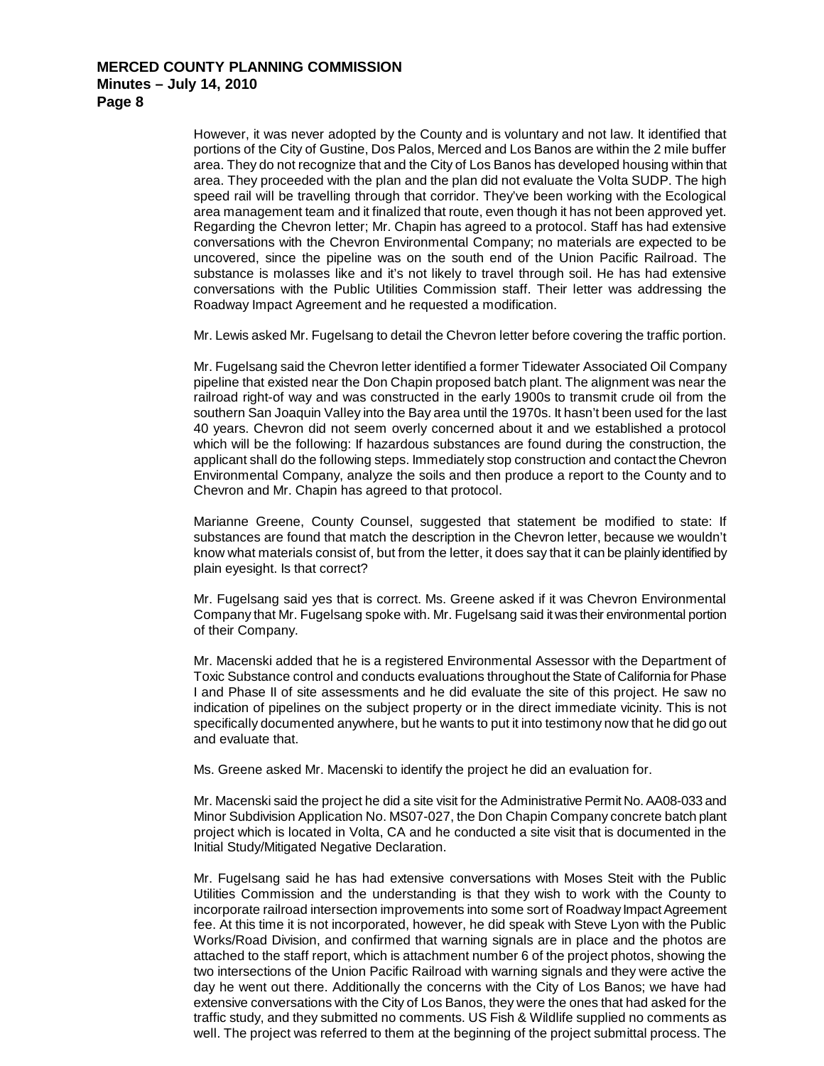However, it was never adopted by the County and is voluntary and not law. It identified that portions of the City of Gustine, Dos Palos, Merced and Los Banos are within the 2 mile buffer area. They do not recognize that and the City of Los Banos has developed housing within that area. They proceeded with the plan and the plan did not evaluate the Volta SUDP. The high speed rail will be travelling through that corridor. They've been working with the Ecological area management team and it finalized that route, even though it has not been approved yet. Regarding the Chevron letter; Mr. Chapin has agreed to a protocol. Staff has had extensive conversations with the Chevron Environmental Company; no materials are expected to be uncovered, since the pipeline was on the south end of the Union Pacific Railroad. The substance is molasses like and it's not likely to travel through soil. He has had extensive conversations with the Public Utilities Commission staff. Their letter was addressing the Roadway Impact Agreement and he requested a modification.

Mr. Lewis asked Mr. Fugelsang to detail the Chevron letter before covering the traffic portion.

Mr. Fugelsang said the Chevron letter identified a former Tidewater Associated Oil Company pipeline that existed near the Don Chapin proposed batch plant. The alignment was near the railroad right-of way and was constructed in the early 1900s to transmit crude oil from the southern San Joaquin Valley into the Bay area until the 1970s. It hasn't been used for the last 40 years. Chevron did not seem overly concerned about it and we established a protocol which will be the following: If hazardous substances are found during the construction, the applicant shall do the following steps. Immediately stop construction and contact the Chevron Environmental Company, analyze the soils and then produce a report to the County and to Chevron and Mr. Chapin has agreed to that protocol.

Marianne Greene, County Counsel, suggested that statement be modified to state: If substances are found that match the description in the Chevron letter, because we wouldn't know what materials consist of, but from the letter, it does say that it can be plainly identified by plain eyesight. Is that correct?

Mr. Fugelsang said yes that is correct. Ms. Greene asked if it was Chevron Environmental Company that Mr. Fugelsang spoke with. Mr. Fugelsang said it was their environmental portion of their Company.

Mr. Macenski added that he is a registered Environmental Assessor with the Department of Toxic Substance control and conducts evaluations throughout the State of California for Phase I and Phase II of site assessments and he did evaluate the site of this project. He saw no indication of pipelines on the subject property or in the direct immediate vicinity. This is not specifically documented anywhere, but he wants to put it into testimony now that he did go out and evaluate that.

Ms. Greene asked Mr. Macenski to identify the project he did an evaluation for.

Mr. Macenski said the project he did a site visit for the Administrative Permit No. AA08-033 and Minor Subdivision Application No. MS07-027, the Don Chapin Company concrete batch plant project which is located in Volta, CA and he conducted a site visit that is documented in the Initial Study/Mitigated Negative Declaration.

Mr. Fugelsang said he has had extensive conversations with Moses Steit with the Public Utilities Commission and the understanding is that they wish to work with the County to incorporate railroad intersection improvements into some sort of Roadway Impact Agreement fee. At this time it is not incorporated, however, he did speak with Steve Lyon with the Public Works/Road Division, and confirmed that warning signals are in place and the photos are attached to the staff report, which is attachment number 6 of the project photos, showing the two intersections of the Union Pacific Railroad with warning signals and they were active the day he went out there. Additionally the concerns with the City of Los Banos; we have had extensive conversations with the City of Los Banos, they were the ones that had asked for the traffic study, and they submitted no comments. US Fish & Wildlife supplied no comments as well. The project was referred to them at the beginning of the project submittal process. The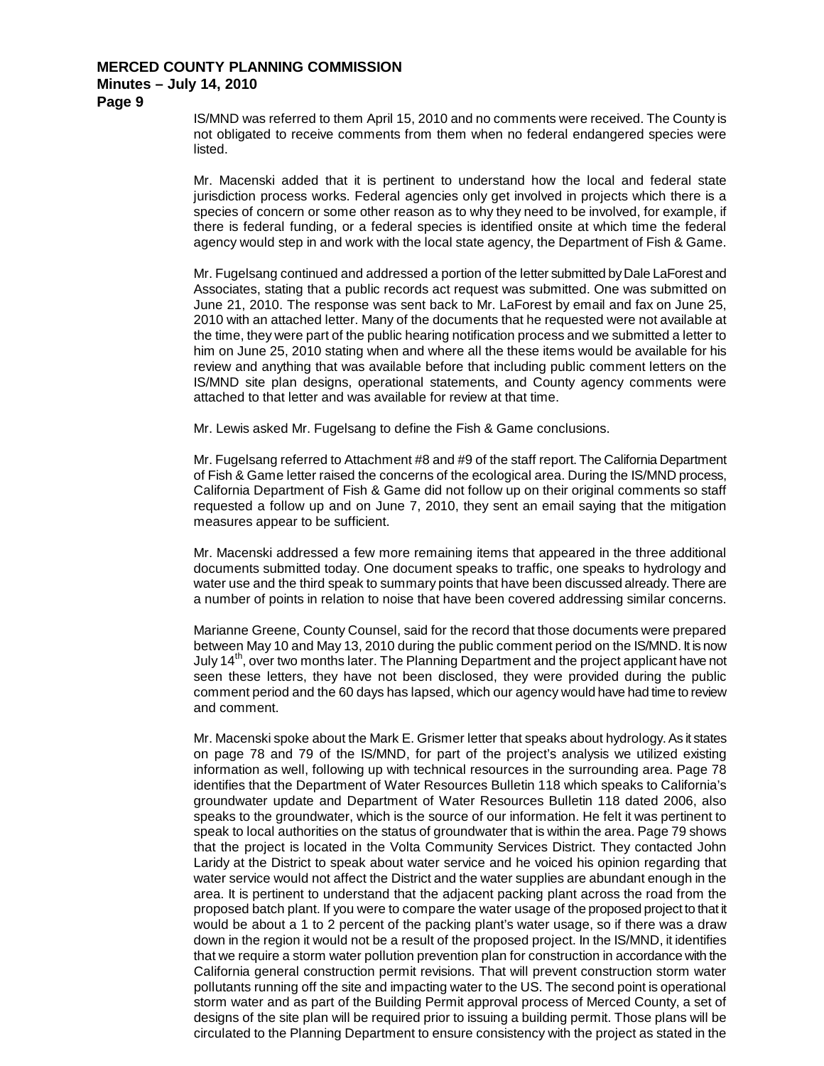**Page 9**

IS/MND was referred to them April 15, 2010 and no comments were received. The County is not obligated to receive comments from them when no federal endangered species were listed.

Mr. Macenski added that it is pertinent to understand how the local and federal state jurisdiction process works. Federal agencies only get involved in projects which there is a species of concern or some other reason as to why they need to be involved, for example, if there is federal funding, or a federal species is identified onsite at which time the federal agency would step in and work with the local state agency, the Department of Fish & Game.

Mr. Fugelsang continued and addressed a portion of the letter submitted by Dale LaForest and Associates, stating that a public records act request was submitted. One was submitted on June 21, 2010. The response was sent back to Mr. LaForest by email and fax on June 25, 2010 with an attached letter. Many of the documents that he requested were not available at the time, they were part of the public hearing notification process and we submitted a letter to him on June 25, 2010 stating when and where all the these items would be available for his review and anything that was available before that including public comment letters on the IS/MND site plan designs, operational statements, and County agency comments were attached to that letter and was available for review at that time.

Mr. Lewis asked Mr. Fugelsang to define the Fish & Game conclusions.

Mr. Fugelsang referred to Attachment #8 and #9 of the staff report. The California Department of Fish & Game letter raised the concerns of the ecological area. During the IS/MND process, California Department of Fish & Game did not follow up on their original comments so staff requested a follow up and on June 7, 2010, they sent an email saying that the mitigation measures appear to be sufficient.

Mr. Macenski addressed a few more remaining items that appeared in the three additional documents submitted today. One document speaks to traffic, one speaks to hydrology and water use and the third speak to summary points that have been discussed already. There are a number of points in relation to noise that have been covered addressing similar concerns.

Marianne Greene, County Counsel, said for the record that those documents were prepared between May 10 and May 13, 2010 during the public comment period on the IS/MND. It is now July 14<sup>th</sup>, over two months later. The Planning Department and the project applicant have not seen these letters, they have not been disclosed, they were provided during the public comment period and the 60 days has lapsed, which our agency would have had time to review and comment.

Mr. Macenski spoke about the Mark E. Grismer letter that speaks about hydrology. As it states on page 78 and 79 of the IS/MND, for part of the project's analysis we utilized existing information as well, following up with technical resources in the surrounding area. Page 78 identifies that the Department of Water Resources Bulletin 118 which speaks to California's groundwater update and Department of Water Resources Bulletin 118 dated 2006, also speaks to the groundwater, which is the source of our information. He felt it was pertinent to speak to local authorities on the status of groundwater that is within the area. Page 79 shows that the project is located in the Volta Community Services District. They contacted John Laridy at the District to speak about water service and he voiced his opinion regarding that water service would not affect the District and the water supplies are abundant enough in the area. It is pertinent to understand that the adjacent packing plant across the road from the proposed batch plant. If you were to compare the water usage of the proposed project to that it would be about a 1 to 2 percent of the packing plant's water usage, so if there was a draw down in the region it would not be a result of the proposed project. In the IS/MND, it identifies that we require a storm water pollution prevention plan for construction in accordance with the California general construction permit revisions. That will prevent construction storm water pollutants running off the site and impacting water to the US. The second point is operational storm water and as part of the Building Permit approval process of Merced County, a set of designs of the site plan will be required prior to issuing a building permit. Those plans will be circulated to the Planning Department to ensure consistency with the project as stated in the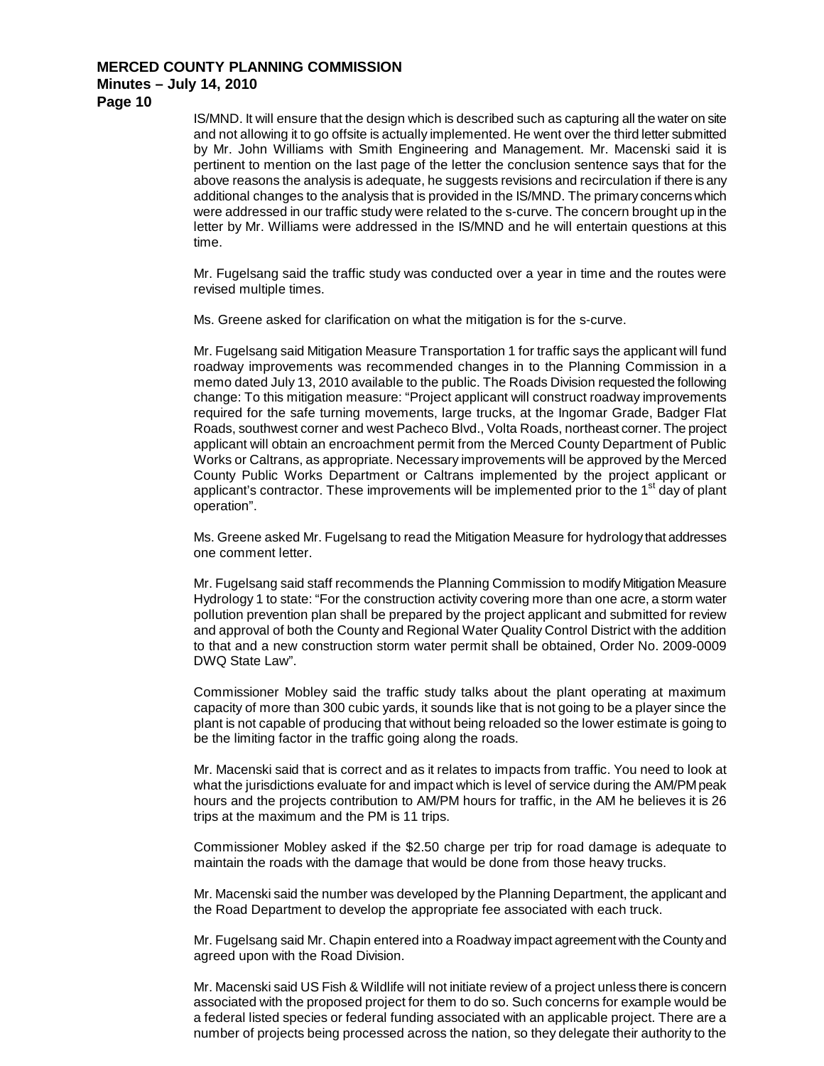**Page 10**

IS/MND. It will ensure that the design which is described such as capturing all the water on site and not allowing it to go offsite is actually implemented. He went over the third letter submitted by Mr. John Williams with Smith Engineering and Management. Mr. Macenski said it is pertinent to mention on the last page of the letter the conclusion sentence says that for the above reasons the analysis is adequate, he suggests revisions and recirculation if there is any additional changes to the analysis that is provided in the IS/MND. The primary concerns which were addressed in our traffic study were related to the s-curve. The concern brought up in the letter by Mr. Williams were addressed in the IS/MND and he will entertain questions at this time.

Mr. Fugelsang said the traffic study was conducted over a year in time and the routes were revised multiple times.

Ms. Greene asked for clarification on what the mitigation is for the s-curve.

Mr. Fugelsang said Mitigation Measure Transportation 1 for traffic says the applicant will fund roadway improvements was recommended changes in to the Planning Commission in a memo dated July 13, 2010 available to the public. The Roads Division requested the following change: To this mitigation measure: "Project applicant will construct roadway improvements required for the safe turning movements, large trucks, at the Ingomar Grade, Badger Flat Roads, southwest corner and west Pacheco Blvd., Volta Roads, northeast corner. The project applicant will obtain an encroachment permit from the Merced County Department of Public Works or Caltrans, as appropriate. Necessary improvements will be approved by the Merced County Public Works Department or Caltrans implemented by the project applicant or applicant's contractor. These improvements will be implemented prior to the  $1<sup>st</sup>$  day of plant operation".

Ms. Greene asked Mr. Fugelsang to read the Mitigation Measure for hydrology that addresses one comment letter.

Mr. Fugelsang said staff recommends the Planning Commission to modify Mitigation Measure Hydrology 1 to state: "For the construction activity covering more than one acre, a storm water pollution prevention plan shall be prepared by the project applicant and submitted for review and approval of both the County and Regional Water Quality Control District with the addition to that and a new construction storm water permit shall be obtained, Order No. 2009-0009 DWQ State Law".

Commissioner Mobley said the traffic study talks about the plant operating at maximum capacity of more than 300 cubic yards, it sounds like that is not going to be a player since the plant is not capable of producing that without being reloaded so the lower estimate is going to be the limiting factor in the traffic going along the roads.

Mr. Macenski said that is correct and as it relates to impacts from traffic. You need to look at what the jurisdictions evaluate for and impact which is level of service during the AM/PM peak hours and the projects contribution to AM/PM hours for traffic, in the AM he believes it is 26 trips at the maximum and the PM is 11 trips.

Commissioner Mobley asked if the \$2.50 charge per trip for road damage is adequate to maintain the roads with the damage that would be done from those heavy trucks.

Mr. Macenski said the number was developed by the Planning Department, the applicant and the Road Department to develop the appropriate fee associated with each truck.

Mr. Fugelsang said Mr. Chapin entered into a Roadway impact agreement with the County and agreed upon with the Road Division.

Mr. Macenski said US Fish & Wildlife will not initiate review of a project unless there is concern associated with the proposed project for them to do so. Such concerns for example would be a federal listed species or federal funding associated with an applicable project. There are a number of projects being processed across the nation, so they delegate their authority to the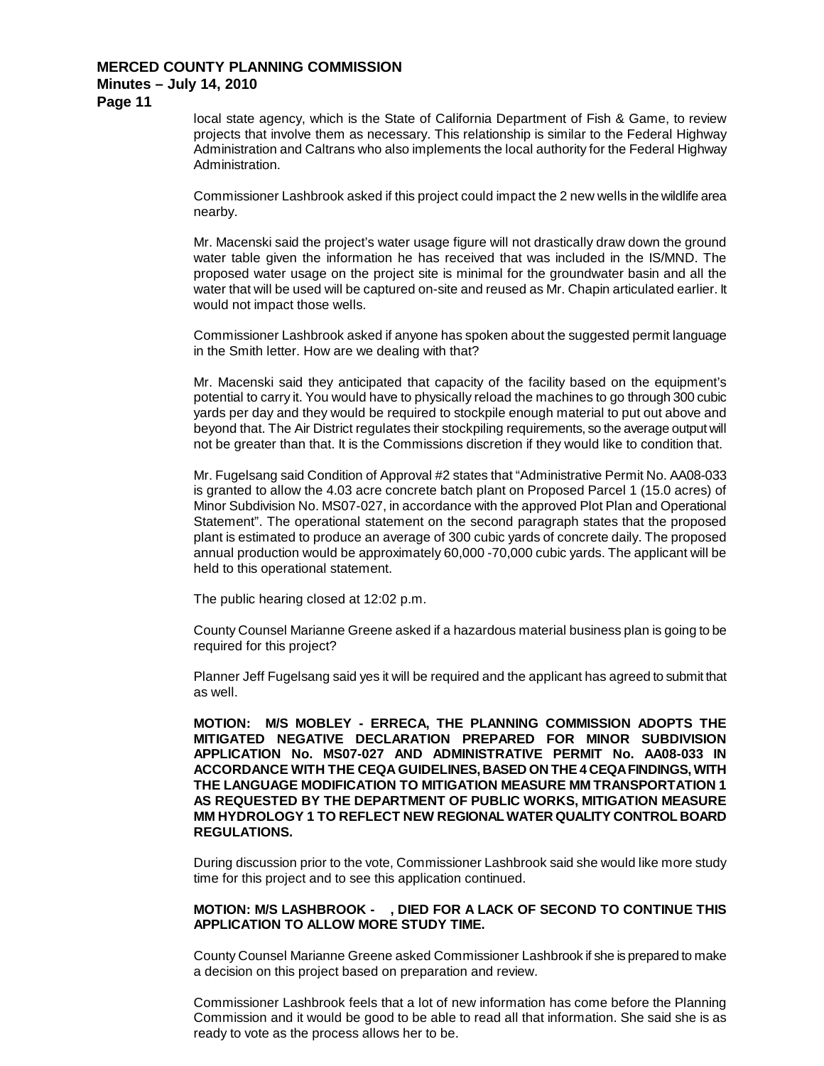**Page 11**

local state agency, which is the State of California Department of Fish & Game, to review projects that involve them as necessary. This relationship is similar to the Federal Highway Administration and Caltrans who also implements the local authority for the Federal Highway Administration.

Commissioner Lashbrook asked if this project could impact the 2 new wells in the wildlife area nearby.

Mr. Macenski said the project's water usage figure will not drastically draw down the ground water table given the information he has received that was included in the IS/MND. The proposed water usage on the project site is minimal for the groundwater basin and all the water that will be used will be captured on-site and reused as Mr. Chapin articulated earlier. It would not impact those wells.

Commissioner Lashbrook asked if anyone has spoken about the suggested permit language in the Smith letter. How are we dealing with that?

Mr. Macenski said they anticipated that capacity of the facility based on the equipment's potential to carry it. You would have to physically reload the machines to go through 300 cubic yards per day and they would be required to stockpile enough material to put out above and beyond that. The Air District regulates their stockpiling requirements, so the average output will not be greater than that. It is the Commissions discretion if they would like to condition that.

Mr. Fugelsang said Condition of Approval #2 states that "Administrative Permit No. AA08-033 is granted to allow the 4.03 acre concrete batch plant on Proposed Parcel 1 (15.0 acres) of Minor Subdivision No. MS07-027, in accordance with the approved Plot Plan and Operational Statement". The operational statement on the second paragraph states that the proposed plant is estimated to produce an average of 300 cubic yards of concrete daily. The proposed annual production would be approximately 60,000 -70,000 cubic yards. The applicant will be held to this operational statement.

The public hearing closed at 12:02 p.m.

County Counsel Marianne Greene asked if a hazardous material business plan is going to be required for this project?

Planner Jeff Fugelsang said yes it will be required and the applicant has agreed to submit that as well.

**MOTION: M/S MOBLEY - ERRECA, THE PLANNING COMMISSION ADOPTS THE MITIGATED NEGATIVE DECLARATION PREPARED FOR MINOR SUBDIVISION APPLICATION No. MS07-027 AND ADMINISTRATIVE PERMIT No. AA08-033 IN ACCORDANCE WITH THE CEQA GUIDELINES, BASED ON THE 4 CEQA FINDINGS, WITH THE LANGUAGE MODIFICATION TO MITIGATION MEASURE MM TRANSPORTATION 1 AS REQUESTED BY THE DEPARTMENT OF PUBLIC WORKS, MITIGATION MEASURE MM HYDROLOGY 1 TO REFLECT NEW REGIONAL WATER QUALITY CONTROL BOARD REGULATIONS.**

During discussion prior to the vote, Commissioner Lashbrook said she would like more study time for this project and to see this application continued.

### **MOTION: M/S LASHBROOK - , DIED FOR A LACK OF SECOND TO CONTINUE THIS APPLICATION TO ALLOW MORE STUDY TIME.**

County Counsel Marianne Greene asked Commissioner Lashbrook if she is prepared to make a decision on this project based on preparation and review.

Commissioner Lashbrook feels that a lot of new information has come before the Planning Commission and it would be good to be able to read all that information. She said she is as ready to vote as the process allows her to be.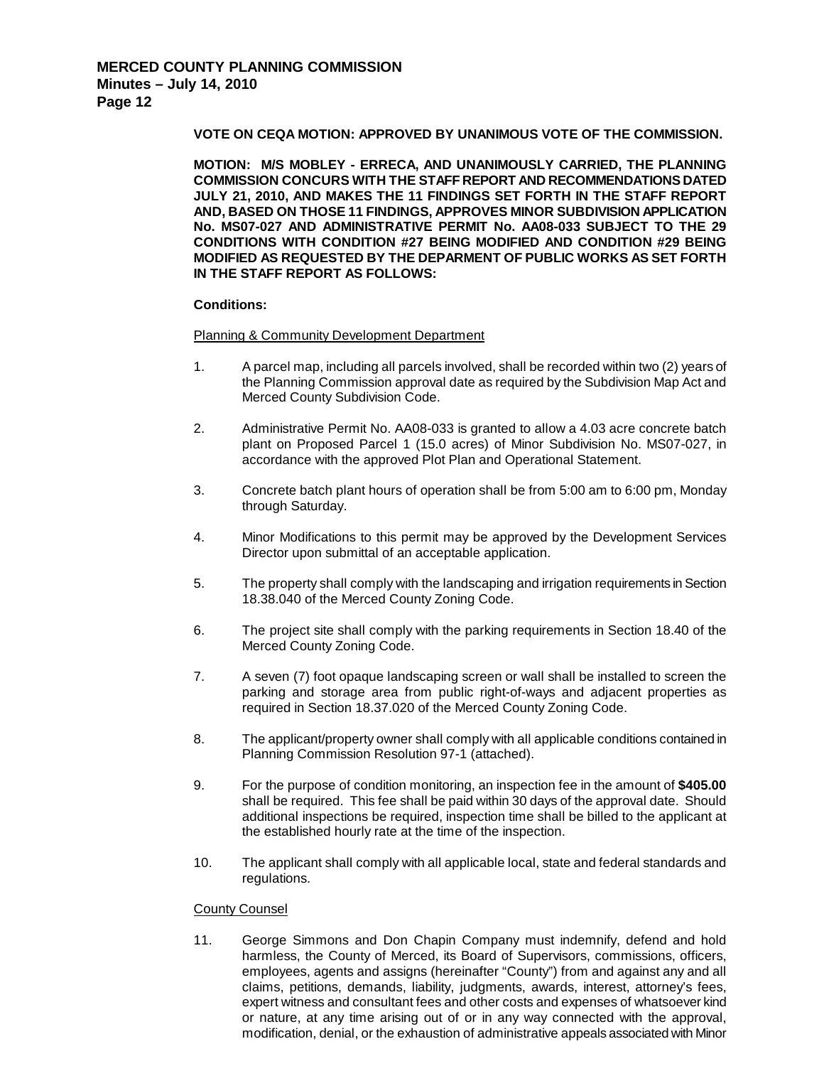## **VOTE ON CEQA MOTION: APPROVED BY UNANIMOUS VOTE OF THE COMMISSION.**

**MOTION: M/S MOBLEY - ERRECA, AND UNANIMOUSLY CARRIED, THE PLANNING COMMISSION CONCURS WITH THE STAFF REPORT AND RECOMMENDATIONS DATED JULY 21, 2010, AND MAKES THE 11 FINDINGS SET FORTH IN THE STAFF REPORT AND, BASED ON THOSE 11 FINDINGS, APPROVES MINOR SUBDIVISION APPLICATION No. MS07-027 AND ADMINISTRATIVE PERMIT No. AA08-033 SUBJECT TO THE 29 CONDITIONS WITH CONDITION #27 BEING MODIFIED AND CONDITION #29 BEING MODIFIED AS REQUESTED BY THE DEPARMENT OF PUBLIC WORKS AS SET FORTH IN THE STAFF REPORT AS FOLLOWS:**

### **Conditions:**

#### Planning & Community Development Department

- 1. A parcel map, including all parcels involved, shall be recorded within two (2) years of the Planning Commission approval date as required by the Subdivision Map Act and Merced County Subdivision Code.
- 2. Administrative Permit No. AA08-033 is granted to allow a 4.03 acre concrete batch plant on Proposed Parcel 1 (15.0 acres) of Minor Subdivision No. MS07-027, in accordance with the approved Plot Plan and Operational Statement.
- 3. Concrete batch plant hours of operation shall be from 5:00 am to 6:00 pm, Monday through Saturday.
- 4. Minor Modifications to this permit may be approved by the Development Services Director upon submittal of an acceptable application.
- 5. The property shall comply with the landscaping and irrigation requirements in Section 18.38.040 of the Merced County Zoning Code.
- 6. The project site shall comply with the parking requirements in Section 18.40 of the Merced County Zoning Code.
- 7. A seven (7) foot opaque landscaping screen or wall shall be installed to screen the parking and storage area from public right-of-ways and adjacent properties as required in Section 18.37.020 of the Merced County Zoning Code.
- 8. The applicant/property owner shall comply with all applicable conditions contained in Planning Commission Resolution 97-1 (attached).
- 9. For the purpose of condition monitoring, an inspection fee in the amount of **\$405.00** shall be required. This fee shall be paid within 30 days of the approval date. Should additional inspections be required, inspection time shall be billed to the applicant at the established hourly rate at the time of the inspection.
- 10. The applicant shall comply with all applicable local, state and federal standards and regulations.

### County Counsel

11. George Simmons and Don Chapin Company must indemnify, defend and hold harmless, the County of Merced, its Board of Supervisors, commissions, officers, employees, agents and assigns (hereinafter "County") from and against any and all claims, petitions, demands, liability, judgments, awards, interest, attorney's fees, expert witness and consultant fees and other costs and expenses of whatsoever kind or nature, at any time arising out of or in any way connected with the approval, modification, denial, or the exhaustion of administrative appeals associated with Minor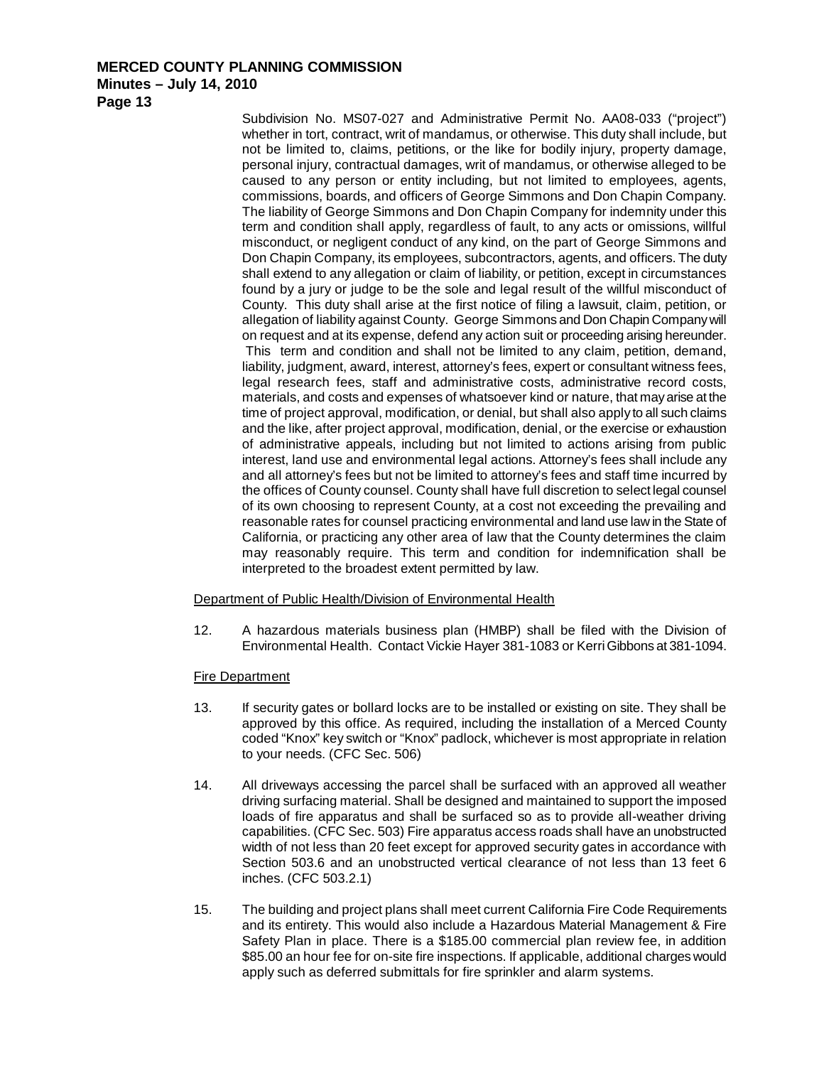**Minutes – July 14, 2010**

**Page 13**

Subdivision No. MS07-027 and Administrative Permit No. AA08-033 ("project") whether in tort, contract, writ of mandamus, or otherwise. This duty shall include, but not be limited to, claims, petitions, or the like for bodily injury, property damage, personal injury, contractual damages, writ of mandamus, or otherwise alleged to be caused to any person or entity including, but not limited to employees, agents, commissions, boards, and officers of George Simmons and Don Chapin Company. The liability of George Simmons and Don Chapin Company for indemnity under this term and condition shall apply, regardless of fault, to any acts or omissions, willful misconduct, or negligent conduct of any kind, on the part of George Simmons and Don Chapin Company, its employees, subcontractors, agents, and officers. The duty shall extend to any allegation or claim of liability, or petition, except in circumstances found by a jury or judge to be the sole and legal result of the willful misconduct of County. This duty shall arise at the first notice of filing a lawsuit, claim, petition, or allegation of liability against County. George Simmons and Don Chapin Company will on request and at its expense, defend any action suit or proceeding arising hereunder. This term and condition and shall not be limited to any claim, petition, demand, liability, judgment, award, interest, attorney's fees, expert or consultant witness fees, legal research fees, staff and administrative costs, administrative record costs, materials, and costs and expenses of whatsoever kind or nature, that may arise at the time of project approval, modification, or denial, but shall also apply to all such claims and the like, after project approval, modification, denial, or the exercise or exhaustion of administrative appeals, including but not limited to actions arising from public interest, land use and environmental legal actions. Attorney's fees shall include any and all attorney's fees but not be limited to attorney's fees and staff time incurred by the offices of County counsel. County shall have full discretion to select legal counsel of its own choosing to represent County, at a cost not exceeding the prevailing and reasonable rates for counsel practicing environmental and land use law in the State of California, or practicing any other area of law that the County determines the claim may reasonably require. This term and condition for indemnification shall be interpreted to the broadest extent permitted by law.

Department of Public Health/Division of Environmental Health

12. A hazardous materials business plan (HMBP) shall be filed with the Division of Environmental Health. Contact Vickie Hayer 381-1083 or Kerri Gibbons at 381-1094.

## Fire Department

- 13. If security gates or bollard locks are to be installed or existing on site. They shall be approved by this office. As required, including the installation of a Merced County coded "Knox" key switch or "Knox" padlock, whichever is most appropriate in relation to your needs. (CFC Sec. 506)
- 14. All driveways accessing the parcel shall be surfaced with an approved all weather driving surfacing material. Shall be designed and maintained to support the imposed loads of fire apparatus and shall be surfaced so as to provide all-weather driving capabilities. (CFC Sec. 503) Fire apparatus access roads shall have an unobstructed width of not less than 20 feet except for approved security gates in accordance with Section 503.6 and an unobstructed vertical clearance of not less than 13 feet 6 inches. (CFC 503.2.1)
- 15. The building and project plans shall meet current California Fire Code Requirements and its entirety. This would also include a Hazardous Material Management & Fire Safety Plan in place. There is a \$185.00 commercial plan review fee, in addition \$85.00 an hour fee for on-site fire inspections. If applicable, additional charges would apply such as deferred submittals for fire sprinkler and alarm systems.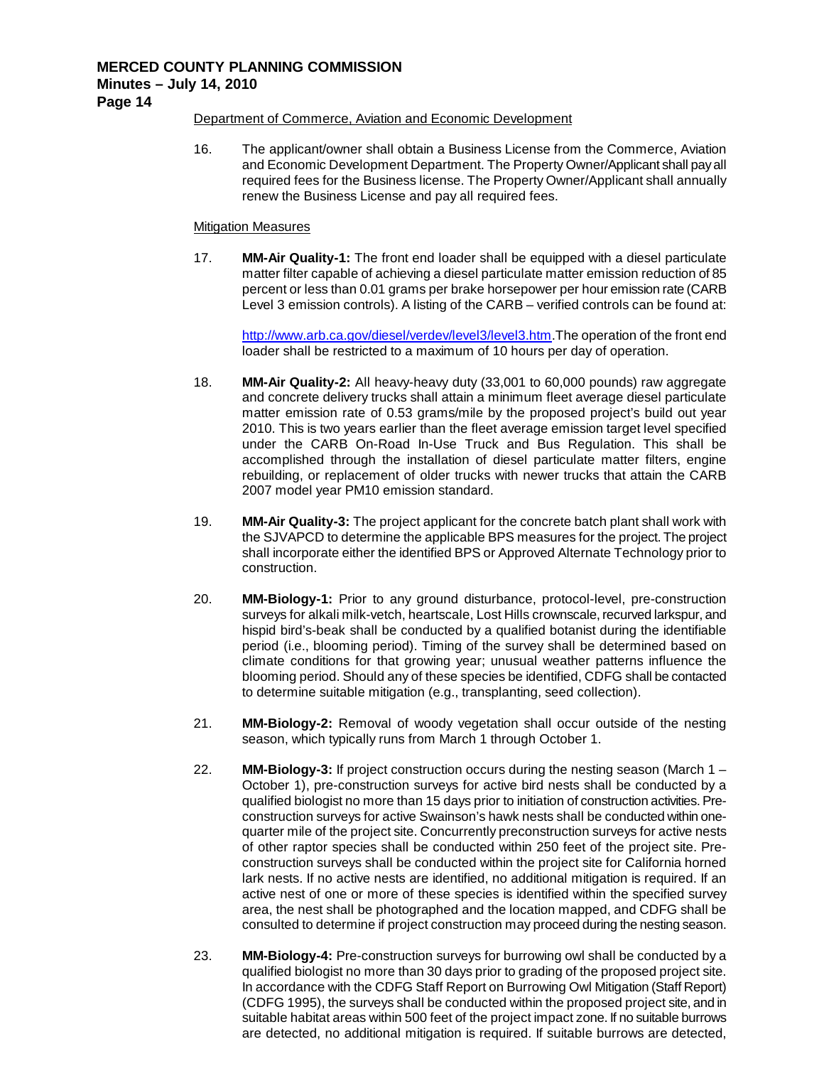**Page 14**

## Department of Commerce, Aviation and Economic Development

16. The applicant/owner shall obtain a Business License from the Commerce, Aviation and Economic Development Department. The Property Owner/Applicant shall pay all required fees for the Business license. The Property Owner/Applicant shall annually renew the Business License and pay all required fees.

### Mitigation Measures

17. **MM-Air Quality-1:** The front end loader shall be equipped with a diesel particulate matter filter capable of achieving a diesel particulate matter emission reduction of 85 percent or less than 0.01 grams per brake horsepower per hour emission rate (CARB Level 3 emission controls). A listing of the CARB – verified controls can be found at:

[http://www.arb.ca.gov/diesel/verdev/level3/level3.htm.](http://www.arb.ca.gov/diesel/verdev/level3/level3.htm)The operation of the front end loader shall be restricted to a maximum of 10 hours per day of operation.

- 18. **MM-Air Quality-2:** All heavy-heavy duty (33,001 to 60,000 pounds) raw aggregate and concrete delivery trucks shall attain a minimum fleet average diesel particulate matter emission rate of 0.53 grams/mile by the proposed project's build out year 2010. This is two years earlier than the fleet average emission target level specified under the CARB On-Road In-Use Truck and Bus Regulation. This shall be accomplished through the installation of diesel particulate matter filters, engine rebuilding, or replacement of older trucks with newer trucks that attain the CARB 2007 model year PM10 emission standard.
- 19. **MM-Air Quality-3:** The project applicant for the concrete batch plant shall work with the SJVAPCD to determine the applicable BPS measures for the project. The project shall incorporate either the identified BPS or Approved Alternate Technology prior to construction.
- 20. **MM-Biology-1:** Prior to any ground disturbance, protocol-level, pre-construction surveys for alkali milk-vetch, heartscale, Lost Hills crownscale, recurved larkspur, and hispid bird's-beak shall be conducted by a qualified botanist during the identifiable period (i.e., blooming period). Timing of the survey shall be determined based on climate conditions for that growing year; unusual weather patterns influence the blooming period. Should any of these species be identified, CDFG shall be contacted to determine suitable mitigation (e.g., transplanting, seed collection).
- 21. **MM-Biology-2:** Removal of woody vegetation shall occur outside of the nesting season, which typically runs from March 1 through October 1.
- 22. **MM-Biology-3:** If project construction occurs during the nesting season (March 1 October 1), pre-construction surveys for active bird nests shall be conducted by a qualified biologist no more than 15 days prior to initiation of construction activities. Preconstruction surveys for active Swainson's hawk nests shall be conducted within onequarter mile of the project site. Concurrently preconstruction surveys for active nests of other raptor species shall be conducted within 250 feet of the project site. Preconstruction surveys shall be conducted within the project site for California horned lark nests. If no active nests are identified, no additional mitigation is required. If an active nest of one or more of these species is identified within the specified survey area, the nest shall be photographed and the location mapped, and CDFG shall be consulted to determine if project construction may proceed during the nesting season.
- 23. **MM-Biology-4:** Pre-construction surveys for burrowing owl shall be conducted by a qualified biologist no more than 30 days prior to grading of the proposed project site. In accordance with the CDFG Staff Report on Burrowing Owl Mitigation (Staff Report) (CDFG 1995), the surveys shall be conducted within the proposed project site, and in suitable habitat areas within 500 feet of the project impact zone. If no suitable burrows are detected, no additional mitigation is required. If suitable burrows are detected,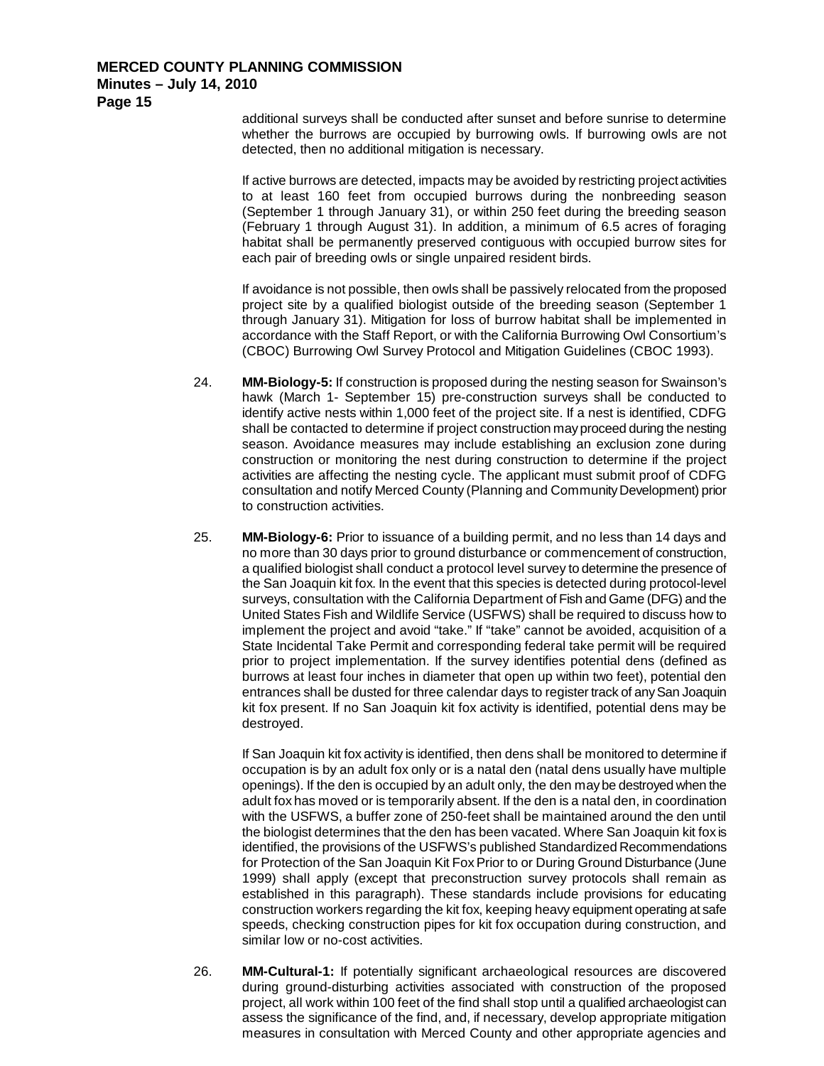## **Minutes – July 14, 2010**

**Page 15**

additional surveys shall be conducted after sunset and before sunrise to determine whether the burrows are occupied by burrowing owls. If burrowing owls are not detected, then no additional mitigation is necessary.

If active burrows are detected, impacts may be avoided by restricting project activities to at least 160 feet from occupied burrows during the nonbreeding season (September 1 through January 31), or within 250 feet during the breeding season (February 1 through August 31). In addition, a minimum of 6.5 acres of foraging habitat shall be permanently preserved contiguous with occupied burrow sites for each pair of breeding owls or single unpaired resident birds.

If avoidance is not possible, then owls shall be passively relocated from the proposed project site by a qualified biologist outside of the breeding season (September 1 through January 31). Mitigation for loss of burrow habitat shall be implemented in accordance with the Staff Report, or with the California Burrowing Owl Consortium's (CBOC) Burrowing Owl Survey Protocol and Mitigation Guidelines (CBOC 1993).

- 24. **MM-Biology-5:** If construction is proposed during the nesting season for Swainson's hawk (March 1- September 15) pre-construction surveys shall be conducted to identify active nests within 1,000 feet of the project site. If a nest is identified, CDFG shall be contacted to determine if project construction may proceed during the nesting season. Avoidance measures may include establishing an exclusion zone during construction or monitoring the nest during construction to determine if the project activities are affecting the nesting cycle. The applicant must submit proof of CDFG consultation and notify Merced County (Planning and Community Development) prior to construction activities.
- 25. **MM-Biology-6:** Prior to issuance of a building permit, and no less than 14 days and no more than 30 days prior to ground disturbance or commencement of construction, a qualified biologist shall conduct a protocol level survey to determine the presence of the San Joaquin kit fox. In the event that this species is detected during protocol-level surveys, consultation with the California Department of Fish and Game (DFG) and the United States Fish and Wildlife Service (USFWS) shall be required to discuss how to implement the project and avoid "take." If "take" cannot be avoided, acquisition of a State Incidental Take Permit and corresponding federal take permit will be required prior to project implementation. If the survey identifies potential dens (defined as burrows at least four inches in diameter that open up within two feet), potential den entrances shall be dusted for three calendar days to register track of any San Joaquin kit fox present. If no San Joaquin kit fox activity is identified, potential dens may be destroyed.

If San Joaquin kit fox activity is identified, then dens shall be monitored to determine if occupation is by an adult fox only or is a natal den (natal dens usually have multiple openings). If the den is occupied by an adult only, the den may be destroyed when the adult fox has moved or is temporarily absent. If the den is a natal den, in coordination with the USFWS, a buffer zone of 250-feet shall be maintained around the den until the biologist determines that the den has been vacated. Where San Joaquin kit fox is identified, the provisions of the USFWS's published Standardized Recommendations for Protection of the San Joaquin Kit Fox Prior to or During Ground Disturbance (June 1999) shall apply (except that preconstruction survey protocols shall remain as established in this paragraph). These standards include provisions for educating construction workers regarding the kit fox, keeping heavy equipment operating at safe speeds, checking construction pipes for kit fox occupation during construction, and similar low or no-cost activities.

26. **MM-Cultural-1:** If potentially significant archaeological resources are discovered during ground-disturbing activities associated with construction of the proposed project, all work within 100 feet of the find shall stop until a qualified archaeologist can assess the significance of the find, and, if necessary, develop appropriate mitigation measures in consultation with Merced County and other appropriate agencies and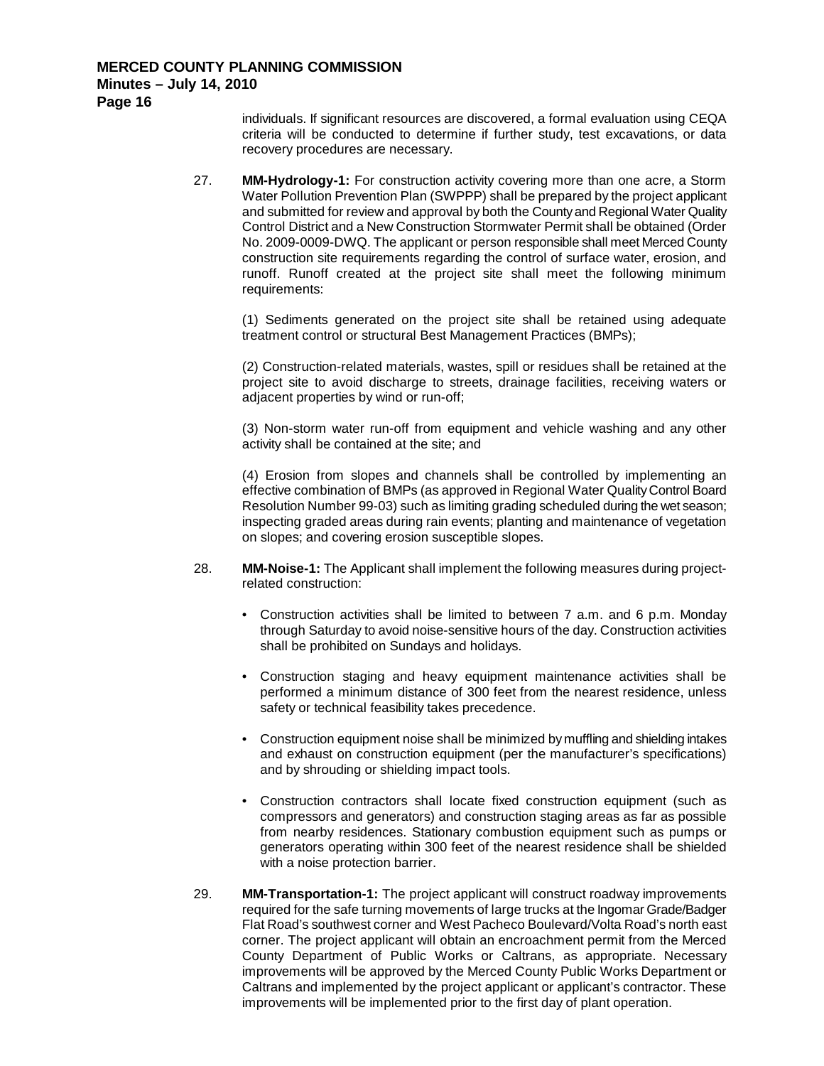## **Minutes – July 14, 2010**

**Page 16**

individuals. If significant resources are discovered, a formal evaluation using CEQA criteria will be conducted to determine if further study, test excavations, or data recovery procedures are necessary.

27. **MM-Hydrology-1:** For construction activity covering more than one acre, a Storm Water Pollution Prevention Plan (SWPPP) shall be prepared by the project applicant and submitted for review and approval by both the County and Regional Water Quality Control District and a New Construction Stormwater Permit shall be obtained (Order No. 2009-0009-DWQ. The applicant or person responsible shall meet Merced County construction site requirements regarding the control of surface water, erosion, and runoff. Runoff created at the project site shall meet the following minimum requirements:

(1) Sediments generated on the project site shall be retained using adequate treatment control or structural Best Management Practices (BMPs);

(2) Construction-related materials, wastes, spill or residues shall be retained at the project site to avoid discharge to streets, drainage facilities, receiving waters or adjacent properties by wind or run-off;

(3) Non-storm water run-off from equipment and vehicle washing and any other activity shall be contained at the site; and

(4) Erosion from slopes and channels shall be controlled by implementing an effective combination of BMPs (as approved in Regional Water Quality Control Board Resolution Number 99-03) such as limiting grading scheduled during the wet season; inspecting graded areas during rain events; planting and maintenance of vegetation on slopes; and covering erosion susceptible slopes.

- 28. **MM-Noise-1:** The Applicant shall implement the following measures during projectrelated construction:
	- Construction activities shall be limited to between 7 a.m. and 6 p.m. Monday through Saturday to avoid noise-sensitive hours of the day. Construction activities shall be prohibited on Sundays and holidays.
	- Construction staging and heavy equipment maintenance activities shall be performed a minimum distance of 300 feet from the nearest residence, unless safety or technical feasibility takes precedence.
	- Construction equipment noise shall be minimized by muffling and shielding intakes and exhaust on construction equipment (per the manufacturer's specifications) and by shrouding or shielding impact tools.
	- Construction contractors shall locate fixed construction equipment (such as compressors and generators) and construction staging areas as far as possible from nearby residences. Stationary combustion equipment such as pumps or generators operating within 300 feet of the nearest residence shall be shielded with a noise protection barrier.
- 29. **MM-Transportation-1:** The project applicant will construct roadway improvements required for the safe turning movements of large trucks at the Ingomar Grade/Badger Flat Road's southwest corner and West Pacheco Boulevard/Volta Road's north east corner. The project applicant will obtain an encroachment permit from the Merced County Department of Public Works or Caltrans, as appropriate. Necessary improvements will be approved by the Merced County Public Works Department or Caltrans and implemented by the project applicant or applicant's contractor. These improvements will be implemented prior to the first day of plant operation.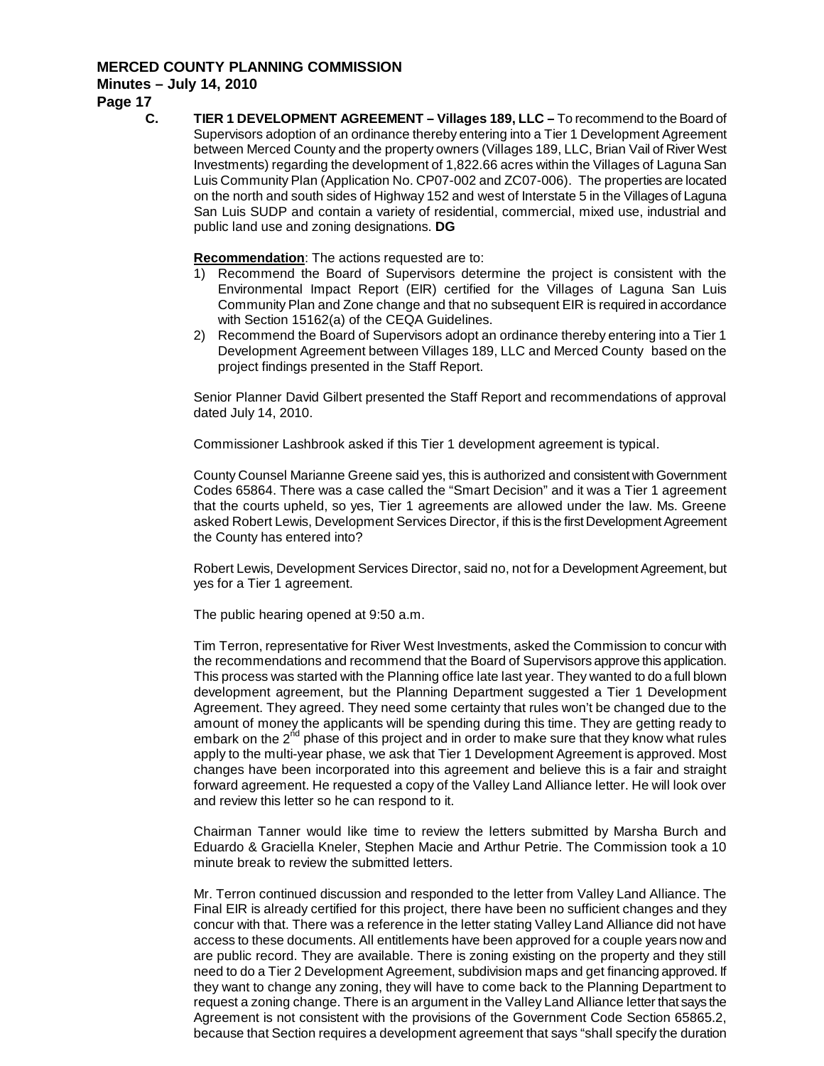## **Minutes – July 14, 2010**

**Page 17**

**C. TIER 1 DEVELOPMENT AGREEMENT – Villages 189, LLC –** To recommend to the Board of Supervisors adoption of an ordinance thereby entering into a Tier 1 Development Agreement between Merced County and the property owners (Villages 189, LLC, Brian Vail of River West Investments) regarding the development of 1,822.66 acres within the Villages of Laguna San Luis Community Plan (Application No. CP07-002 and ZC07-006). The properties are located on the north and south sides of Highway 152 and west of Interstate 5 in the Villages of Laguna San Luis SUDP and contain a variety of residential, commercial, mixed use, industrial and public land use and zoning designations. **DG**

**Recommendation** : The actions requested are to:

- 1) Recommend the Board of Supervisors determine the project is consistent with the Environmental Impact Report (EIR) certified for the Villages of Laguna San Luis Community Plan and Zone change and that no subsequent EIR is required in accordance with Section 15162(a) of the CEQA Guidelines.
- 2) Recommend the Board of Supervisors adopt an ordinance thereby entering into a Tier 1 Development Agreement between Villages 189, LLC and Merced County based on the project findings presented in the Staff Report.

Senior Planner David Gilbert presented the Staff Report and recommendations of approval dated July 14, 2010.

Commissioner Lashbrook asked if this Tier 1 development agreement is typical.

County Counsel Marianne Greene said yes, this is authorized and consistent with Government Codes 65864. There was a case called the "Smart Decision" and it was a Tier 1 agreement that the courts upheld, so yes, Tier 1 agreements are allowed under the law. Ms. Greene asked Robert Lewis, Development Services Director, if this is the first Development Agreement the County has entered into?

Robert Lewis, Development Services Director, said no, not for a Development Agreement, but yes for a Tier 1 agreement.

The public hearing opened at 9:50 a.m.

Tim Terron, representative for River West Investments, asked the Commission to concur with the recommendations and recommend that the Board of Supervisors approve this application. This process was started with the Planning office late last year. They wanted to do a full blown development agreement, but the Planning Department suggested a Tier 1 Development Agreement. They agreed. They need some certainty that rules won't be changed due to the amount of money the applicants will be spending during this time. They are getting ready to embark on the  $2<sup>nd</sup>$  phase of this project and in order to make sure that they know what rules apply to the multi-year phase, we ask that Tier 1 Development Agreement is approved. Most changes have been incorporated into this agreement and believe this is a fair and straight forward agreement. He requested a copy of the Valley Land Alliance letter. He will look over and review this letter so he can respond to it.

Chairman Tanner would like time to review the letters submitted by Marsha Burch and Eduardo & Graciella Kneler, Stephen Macie and Arthur Petrie. The Commission took a 10 minute break to review the submitted letters.

Mr. Terron continued discussion and responded to the letter from Valley Land Alliance. The Final EIR is already certified for this project, there have been no sufficient changes and they concur with that. There was a reference in the letter stating Valley Land Alliance did not have access to these documents. All entitlements have been approved for a couple years now and are public record. They are available. There is zoning existing on the property and they still need to do a Tier 2 Development Agreement, subdivision maps and get financing approved. If they want to change any zoning, they will have to come back to the Planning Department to request a zoning change. There is an argument in the Valley Land Alliance letter that says the Agreement is not consistent with the provisions of the Government Code Section 65865.2, because that Section requires a development agreement that says "shall specify the duration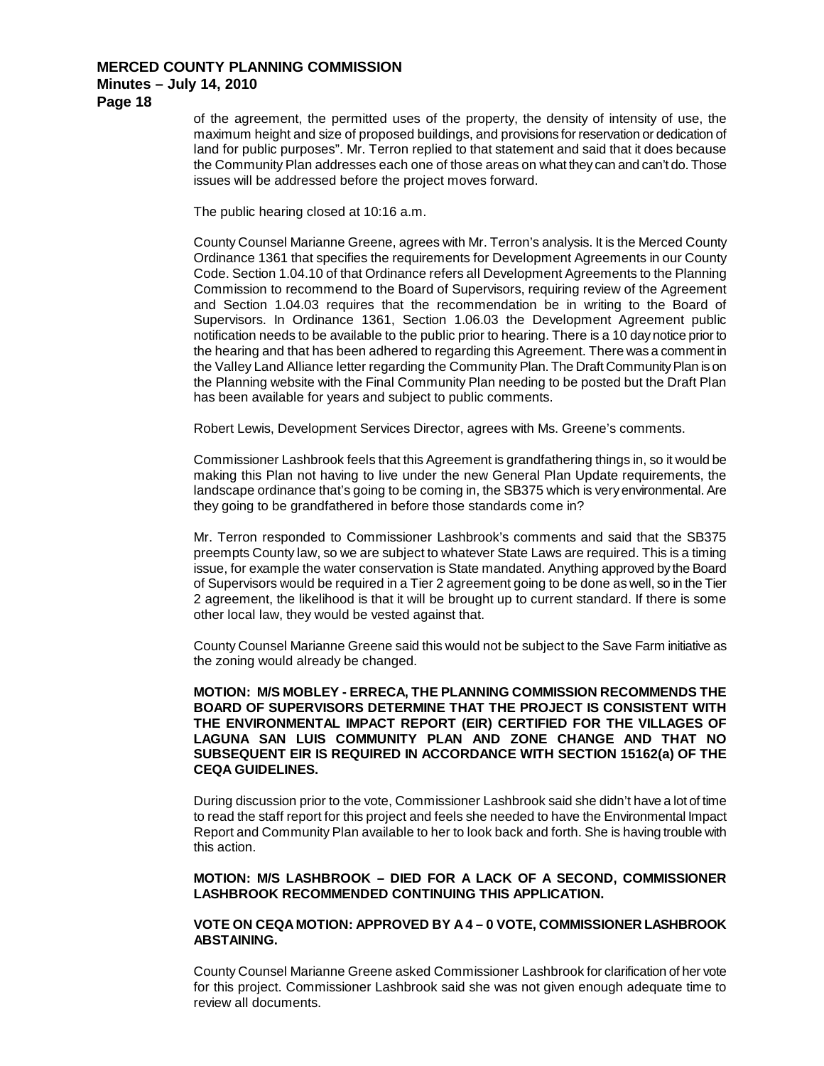**Page 18**

of the agreement, the permitted uses of the property, the density of intensity of use, the maximum height and size of proposed buildings, and provisions for reservation or dedication of land for public purposes". Mr. Terron replied to that statement and said that it does because the Community Plan addresses each one of those areas on what they can and can't do. Those issues will be addressed before the project moves forward.

The public hearing closed at 10:16 a.m.

County Counsel Marianne Greene, agrees with Mr. Terron's analysis. It is the Merced County Ordinance 1361 that specifies the requirements for Development Agreements in our County Code. Section 1.04.10 of that Ordinance refers all Development Agreements to the Planning Commission to recommend to the Board of Supervisors, requiring review of the Agreement and Section 1.04.03 requires that the recommendation be in writing to the Board of Supervisors. In Ordinance 1361, Section 1.06.03 the Development Agreement public notification needs to be available to the public prior to hearing. There is a 10 day notice prior to the hearing and that has been adhered to regarding this Agreement. There was a comment in the Valley Land Alliance letter regarding the Community Plan. The Draft Community Plan is on the Planning website with the Final Community Plan needing to be posted but the Draft Plan has been available for years and subject to public comments.

Robert Lewis, Development Services Director, agrees with Ms. Greene's comments.

Commissioner Lashbrook feels that this Agreement is grandfathering things in, so it would be making this Plan not having to live under the new General Plan Update requirements, the landscape ordinance that's going to be coming in, the SB375 which is very environmental. Are they going to be grandfathered in before those standards come in?

Mr. Terron responded to Commissioner Lashbrook's comments and said that the SB375 preempts County law, so we are subject to whatever State Laws are required. This is a timing issue, for example the water conservation is State mandated. Anything approved by the Board of Supervisors would be required in a Tier 2 agreement going to be done as well, so in the Tier 2 agreement, the likelihood is that it will be brought up to current standard. If there is some other local law, they would be vested against that.

County Counsel Marianne Greene said this would not be subject to the Save Farm initiative as the zoning would already be changed.

### **MOTION: M/S MOBLEY - ERRECA, THE PLANNING COMMISSION RECOMMENDS THE BOARD OF SUPERVISORS DETERMINE THAT THE PROJECT IS CONSISTENT WITH THE ENVIRONMENTAL IMPACT REPORT (EIR) CERTIFIED FOR THE VILLAGES OF LAGUNA SAN LUIS COMMUNITY PLAN AND ZONE CHANGE AND THAT NO SUBSEQUENT EIR IS REQUIRED IN ACCORDANCE WITH SECTION 15162(a) OF THE CEQA GUIDELINES.**

During discussion prior to the vote, Commissioner Lashbrook said she didn't have a lot of time to read the staff report for this project and feels she needed to have the Environmental Impact Report and Community Plan available to her to look back and forth. She is having trouble with this action.

#### **MOTION: M/S LASHBROOK – DIED FOR A LACK OF A SECOND, COMMISSIONER LASHBROOK RECOMMENDED CONTINUING THIS APPLICATION.**

## **VOTE ON CEQA MOTION: APPROVED BY A 4 – 0 VOTE, COMMISSIONER LASHBROOK ABSTAINING.**

County Counsel Marianne Greene asked Commissioner Lashbrook for clarification of her vote for this project. Commissioner Lashbrook said she was not given enough adequate time to review all documents.